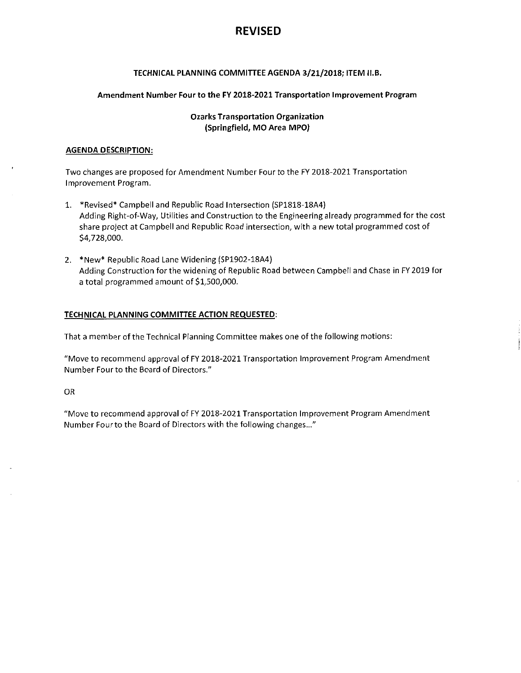# REVISED

## TECHNICAL PLANNING COMMITTEEAGENDA 3/21/2018; ITEM II.B.

## Amendment Number Four to the FY 2018-2021 Transportation Improvement Program

## Ozarks Transportation Organization (Springfield, MO Area MPO)

## AGENDA DESCRIPTION:

Two changes are proposed for Amendment Number Four to the FY 2018-2021 Transportation Improvement Program.

- 1. \*Revised\* Campbell and Republic Road Intersection (SP1818-18A4) Adding Right-of-Way, Utilities and Construction to the Engineering already programmed for the cost share project at Campbell and Republic Road intersection, with <sup>a</sup> new total programmed cost of \$4,728,000.
- 2. \*New\* Republic Road Lane Widening (SP1902-18A4) Adding Construction for the widening of Republic Road between Campbell and Chase in FY 2019 for <sup>a</sup> total programmed amount of \$1,500,000.

## TECHNICAL PLANNING COMMIFTEE ACTION REQUESTED:

That a member of the Technical Planning Committee makes one of the following motions:

"Move to recommend approval of FY 2018-2021 Transportation Improvement Program Amendment Number Four to the Board of Directors."

OR

"Move to recommend approval of FY 2018-2021 Transportation Improvement Program Amendment Number Four to the Board of Directors with the following changes..."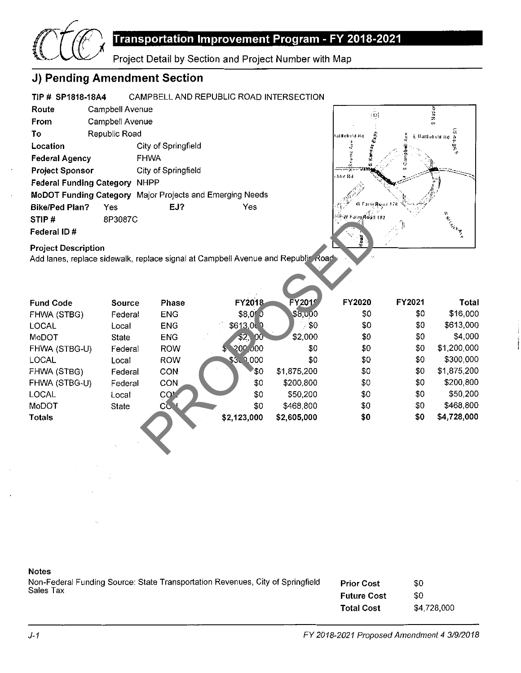

# Transportation Improvement Program - FY 2018-2021

Project Detail by Section and Project Number with Map

# J) Pending Amendment Section

## TIP # SP1818-18A4 CAMPBELL AND REPUBLIC ROAD INTERSECTION Route Campbell Avenue From Campbell Avenue To Republic Road Location City of Springfield Federal Agency FHWA Project Sponsor City of Springfield Federal Funding Category NHPP MoDOT Funding Category Major Projects and Emerging Needs Bike/Ped Plan? Yes EJ? FEJ? STIP # 8P3087C Federal ID #



## Project Description

| STIP#<br>Federal ID#                                                             | 8P3087C |              |                         |               | ≕ਨ W Farm Road 182 |        | Kirk H      |
|----------------------------------------------------------------------------------|---------|--------------|-------------------------|---------------|--------------------|--------|-------------|
| <b>Project Description</b>                                                       |         |              |                         |               |                    |        |             |
| Add lanes, replace sidewalk, replace signal at Campbell Avenue and Republic Road |         |              |                         |               |                    |        |             |
|                                                                                  |         |              |                         |               |                    |        |             |
| <b>Fund Code</b>                                                                 | Source  | Phase        | FY2018                  | <b>FY2019</b> | FY2020             | FY2021 | Total       |
| FHWA (STBG)                                                                      | Federal | <b>ENG</b>   | \$8,000                 | \$8,000       | \$0                | \$0    | \$16,000    |
| <b>LOCAL</b>                                                                     | Local   | <b>ENG</b>   | \$613,000               | \$0           | \$0                | \$0    | \$613,000   |
| MoDOT                                                                            | State   | <b>ENG</b>   | \$2,<br>00 <sub>1</sub> | \$2,000       | \$0                | \$0    | \$4,000     |
| FHWA (STBG-U)                                                                    | Federal | <b>ROW</b>   | \$200,000               | \$0           | \$0                | \$0    | \$1,200,000 |
| <b>LOCAL</b>                                                                     | Local   | <b>ROW</b>   | \$3, 9,000              | \$0           | \$0                | \$0    | \$300,000   |
| FHWA (STBG)                                                                      | Federal | CON          | \$Ο                     | \$1,875,200   | \$0                | \$0    | \$1,875,200 |
| FHWA (STBG-U)                                                                    | Federal | CON          | \$0                     | \$200,800     | \$0                | \$0    | \$200,800   |
| LOCAL                                                                            | Local   | <b>COM</b>   | \$0                     | \$50,200      | \$0                | \$0    | \$50,200    |
| MoDOT                                                                            | State   | $\mathbf{C}$ | \$0                     | \$468,800     | \$0                | \$0    | \$468,800   |
| <b>Totals</b>                                                                    |         |              | \$2,123,000             | \$2,605,000   | \$0                | \$0    | \$4,728,000 |
|                                                                                  |         |              |                         |               |                    |        |             |
|                                                                                  |         |              |                         |               |                    |        |             |

## Notes

Non-Federal Funding Source: State Transportation Revenues, City of Springfield Sales Tax Prior Cost Future Cost Total Cost \$0 \$0 \$4,728,000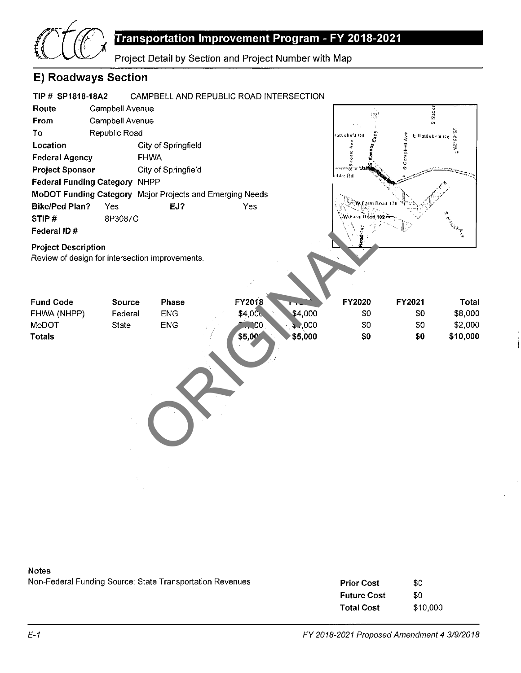

# Transportation Improvement Program - FY 2018-2021

Project Detail by Section and Project Number with Map

# E) Roadways Section

### TIP # SP1818-18A2 CAMPBELL AND REPUBLIC ROAD INTERSECTION Route Campbell Avenue S Nation  $\overline{13}$ From Campbell Avenue To Republic Road iAtlantalis (1 Atlantalis 1 Atlantalis 1 Atlantalis 1 Atlantalis 1 Atlantalis 1 Atlantalis 1 Atlantalis 1 Atla<br>
iPropries 1 Atlantalis 1 Atlantalis 1 Atlantalis 1 Atlantalis 1 Atlantalis 1 Atlantalis 1 Atlantalis 1 Atlan Location City of Springfield ă ý, en sic Federal Agency FHWA Project Sponsor City of Springfield blic Rd Federal Funding Category NHPP MoDOT Funding Category Major Projects and Emerging Needs **W**:Esim Roa: Bike/Ped Plan? Yes EJ? FEJ? STIP # 8P3087C on improvements.<br>
Phase<br>
ENG<br>
ENG<br>
S4,000<br>
\$5,000<br>
\$5,000<br>
\$5,000<br>
\$5,000<br>
\$6,000<br>
\$6,000<br>
\$6,000<br>
\$6,000<br>
\$6,000<br>
\$6,000<br>
\$6,000<br>
\$6,000<br>
\$6,000<br>
\$6,000<br>
\$6,000<br>
\$6,000<br>
\$6,000<br>
\$6,000<br>
\$6,000<br>
\$6,000<br>
\$6,000<br>
\$6,000<br>
\$6, Federal ID # Project Description Review of design for intersection improvements. FY2020 FY2021 Total Fund Code Source Phase FY2018 FY2019 FHWA (NHPP) Federal ENG  $$4,000$ \$4,000 \$0 \$0 \$8,000 MoDOT State ENG  $, 000$ \$0 \$0 \$2,000 **1,**00 Totals \$5,000 \$0 \$0 \$10,000 \$5,000

## Notes

Non-Federal Funding Source: State Transportation Revenues

| <b>Prior Cost</b>  | \$0      |
|--------------------|----------|
| <b>Future Cost</b> | \$0      |
| <b>Total Cost</b>  | \$10,000 |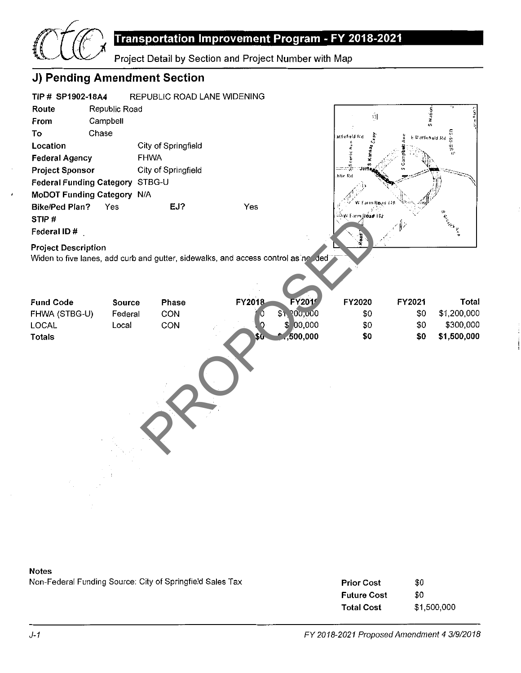

### Notes

Non-Federal Funding Source: City of Springfield Sales Tax

| <b>Prior Cost</b>  | \$0         |
|--------------------|-------------|
| <b>Future Cost</b> | \$0         |
| <b>Total Cost</b>  | \$1,500,000 |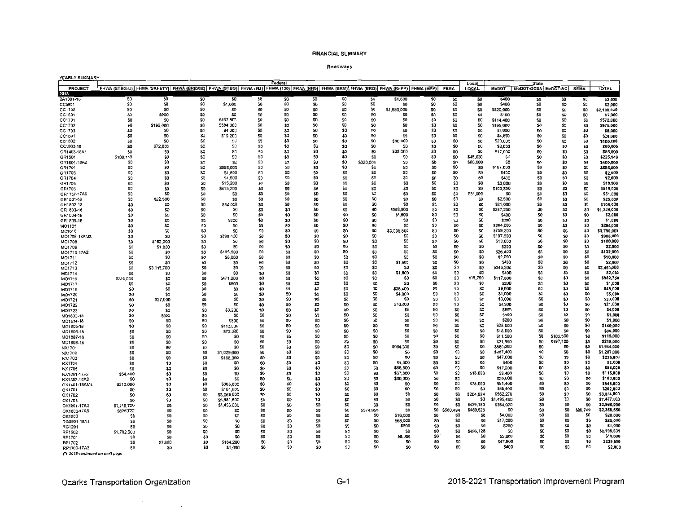#### Roadways

| YEARLY SUMMARY             |                   |                                                                                                                                         |                       |                        |                 |                        |                       |                                   |                       |                     |                |                |                        |                    |                                                |                 |                        |                            |
|----------------------------|-------------------|-----------------------------------------------------------------------------------------------------------------------------------------|-----------------------|------------------------|-----------------|------------------------|-----------------------|-----------------------------------|-----------------------|---------------------|----------------|----------------|------------------------|--------------------|------------------------------------------------|-----------------|------------------------|----------------------------|
|                            |                   | FHWA (STBG-U) FHWA (SAFETY) FHWA (BRIDGE) FHWA (STBG) FHWA (IM) FHWA (130) FHWA (NHS) FHWA (BRM) FHWA (BRO) FHWA (NHPP) FHWA (HPP) FEMA |                       |                        |                 | Federal                |                       |                                   |                       |                     |                |                | Local<br><b>LOCAL</b>  |                    | <b>State</b><br>MoDOT MoDOT-GCSA MoDOT-AC SEMA |                 |                        | <b>TOTAL</b>               |
| PROJECT                    |                   |                                                                                                                                         |                       |                        |                 |                        |                       |                                   |                       |                     |                |                |                        |                    |                                                |                 |                        |                            |
| 2018<br>BA1801-18          | 50                | \$0                                                                                                                                     | \$0                   | \$0                    | \$0             | \$0                    | \$D                   | \$0                               | \$0                   | \$1,600             | 50             | \$0            | \$0                    | \$400              | <b>SO</b>                                      | 50              | 50                     | \$2,000                    |
| CC0901                     | SO.               | \$0                                                                                                                                     | \$0                   | \$1,600                | SO.             | \$0                    | \$0                   | S0                                | 50                    | SO.                 | 50             | \$0            | \$0                    | \$400              | \$0                                            | 50              | 50                     | \$2,000                    |
| CC1102                     | SO.               | SO.                                                                                                                                     | \$0                   | 50                     | SO              | \$0                    | \$0                   | \$O                               | \$0                   | \$1,680,000         | SO.            | \$0            | \$0                    | \$420,000          | \$0                                            | \$0             | 50                     | \$2,100,000                |
| CC1601                     | SO                | \$900                                                                                                                                   | \$0                   | \$0                    | SO              | 50                     | 50                    | SO                                | SO.                   | S0                  | 50             | \$0            | 50                     | \$100              | \$O                                            | SO <sub>1</sub> | SO.                    | \$1,000                    |
| CC1701                     | SO.               | S0                                                                                                                                      | S <sub>D</sub>        | \$457,600              | SO <sub>1</sub> | \$0                    | S0                    | \$0                               | SO.                   | SO.                 | SO.            | SO.            | \$0                    | \$114,400          | S0                                             | SO.             | SO.                    | \$572,000                  |
| CC1702                     | SO.               | \$196,000                                                                                                                               | \$0                   | \$584,000              | S0              | SO.                    | \$0                   | \$O                               | SO.                   | 50                  | 50             | SO.            | \$0                    | \$195,000          | S <sub>0</sub>                                 | SO.             | <b>SO</b>              | \$975,000                  |
| CC1703                     | 50                | SO.                                                                                                                                     | \$0                   | \$4,000                | SO <sub>1</sub> | 50                     | SO <sub>1</sub>       | SO <sub>1</sub>                   | SO.                   | 50                  | SO.            | SO             | 50                     | \$1,000            | S <sub>0</sub>                                 | SO <sub>1</sub> | \$0                    | \$5,000                    |
| CC1801                     | \$0               | S0                                                                                                                                      | \$0                   | \$19,200               | SO <sub>1</sub> | \$0                    | S <sub>0</sub>        | \$0                               | SO.                   | SO <sub>1</sub>     | \$0            | S0             | SO.                    | \$4,800            | \$O                                            | SO.             | \$0                    | \$24,000                   |
| CC1802                     | 50                | S <sub>0</sub>                                                                                                                          | \$O                   | \$0                    | SO <sub>1</sub> | SO.                    | 50                    | \$O                               | SO.                   | \$80,000            | \$0            | \$0            | 50                     | \$20,000           | S <sub>O</sub>                                 | 50              | S <sub>0</sub>         | \$100,000                  |
| CC1803-18                  | SO.               | \$72,000                                                                                                                                | \$0                   | 50                     | 50              | SO.                    | \$0                   | \$O                               | \$0                   | 50                  | \$0            | \$0            | \$0                    | \$8,000            | S <sub>0</sub>                                 | 50              | <b>SD</b>              | \$80,000                   |
| GR1403-18A1                | \$0               | \$0                                                                                                                                     | \$0                   | SO.                    | SO.             | \$0                    | S0<br>\$0             | \$0<br>\$0                        | SO.<br>SO.            | \$68,000            | \$0<br>\$0     | S0<br>SO.      | SO.<br>\$45,030        | \$17,000<br>\$O    | SO.<br>\$0                                     | 50<br>\$0       | SO.<br>\$0             | \$85,000<br>\$225,149      |
| GR1501                     | \$180,119<br>SO.  | \$O<br>50                                                                                                                               | 50<br>\$0             | 50<br>SD.              | \$0<br>50       | \$0<br>50              | \$O                   | \$O                               | \$320,000             | \$0<br>50           | \$0            | \$O            | \$80,000               | \$0                | \$0                                            | \$0             | \$0                    | \$400,000                  |
| GR1601-18A2<br>GR1701      | 50                | 50                                                                                                                                      | \$O                   | \$588,000              | 50              | \$0                    | 50                    | \$O                               | \$O                   | \$0                 | \$0            | \$0            | SO.                    | \$167,000          | \$0                                            | \$0             | <b>SO</b>              | \$855,000                  |
| GR1703                     | SQ                | 50                                                                                                                                      | \$O                   | \$1,600                | 50              | SO.                    | S <sub>0</sub>        | \$O                               | \$0                   | 50                  | 50             | \$0            | \$0                    | \$400              | 50                                             | \$0             | \$0                    | \$2,000                    |
| GR1704                     | \$0               | \$0                                                                                                                                     | \$0                   | \$1,600                | \$0             | SO <sub>1</sub>        | S <sub>0</sub>        | SO                                | S <sub>0</sub>        | \$0                 | 50             | S <sub>0</sub> | SO                     | \$400              | 50                                             | 50              | \$0                    | \$2,000                    |
| GR1705                     | \$O               | S <sub>0</sub>                                                                                                                          | \$0                   | \$15,200               | SO.             | \$0                    | SO.                   | S <sub>0</sub>                    | SO <sub>1</sub>       | \$û                 | \$0            | SO.            | SO <sub>1</sub>        | \$3,800            | \$0                                            | \$0             | \$0                    | \$19,000                   |
| GR1706                     | S0                | 50                                                                                                                                      | \$0                   | \$415,200              | 50              | 50                     | \$O                   | \$O                               | \$0                   | \$0                 | \$0            | \$O            | \$O                    | \$103,800          | \$O                                            | \$0             | SO.                    | \$519,000                  |
| GR1707-17A6                | \$0               | \$0                                                                                                                                     | \$0                   | s۵                     | S0              | SO.                    | 50                    | SO                                | 50                    | 50                  | 50             | \$O            | \$51,000               | \$0                | 50                                             | \$0             | \$0                    | \$51,000                   |
| GR1801-18                  | \$O               | \$22,500                                                                                                                                | \$0                   | S0                     | \$O             | 50                     | \$0                   | S <sub>0</sub>                    | SO <sub>1</sub>       | SQ.                 | \$0            | \$O            | SO <sub>1</sub>        | \$2,500            | SO <sub>1</sub>                                | \$O             | SO <sub>1</sub>        | \$25,000                   |
| GR1802-18                  | \$0               | 50                                                                                                                                      | \$0                   | \$84,000               | 50              | \$0                    | \$0                   | \$0                               | \$0                   | \$0                 | \$0            | SO.            | SO.                    | \$21,000           | \$0                                            | \$0             | SO.                    | \$105,000                  |
| GR1803-18                  | S <sub>D</sub>    | 50                                                                                                                                      | \$0                   | SO.                    | SO.             | 50                     | 50                    | \$0                               | \$0                   | \$988,800           | \$0            | SO.            | 50                     | \$247,200          | \$0                                            | \$0             | 50                     | \$1,236,000                |
| GR1804-18                  | \$O               | \$û                                                                                                                                     | \$0                   | S0                     | SO.             | 50                     | 50                    | \$O                               | \$0                   | \$1,600             | \$0            | SO.            | SO <sub>1</sub>        | <b>S400</b>        | \$0                                            | \$0             | \$0                    | \$2,000                    |
| GR1805-18                  | \$0               | 50                                                                                                                                      | 50                    | \$800                  | \$0<br>SO.      | \$0<br>SO.             | S <sub>0</sub><br>\$G | S <sub>0</sub><br>\$0             | \$0<br>\$û            | \$0<br>S0           | \$O<br>\$0     | SO.<br>50      | \$O<br>SO <sub>1</sub> | \$200<br>\$284,000 | 50<br>SO.                                      | \$0<br>50       | \$0<br>\$O             | \$1,000<br>\$284,000       |
| MO1105                     | \$O<br>\$0        | \$0<br>\$0                                                                                                                              | S <sub>0</sub><br>\$0 | S <sub>0</sub><br>SO   | SO.             | \$0                    | S <sub>D</sub>        | SO                                | \$0                   | \$3,036,800         | \$0            | SO.            | \$0                    | \$759,200          | \$0                                            | \$0             | 50                     | \$3,796,000                |
| MO1616                     | \$0               | 50                                                                                                                                      | 50                    | \$790.400              | \$0             | \$0                    | SO.                   | SO.                               | \$0                   | 50                  | \$0            | 50             | \$0                    | \$197,600          | \$0                                            | \$0             | \$0                    | \$988,000                  |
| MO1705-18AM3<br>MO1708     | SO.               | \$162,000                                                                                                                               | \$0                   | .so                    | \$0             | 50                     | 50                    | SO.                               | \$0                   | \$0                 | 50             | \$0            | \$0                    | \$18,000           | \$0                                            | \$0             | 50                     | \$180,000                  |
| MO1709                     | \$0               | \$1,800                                                                                                                                 | \$0                   | S <sub>0</sub>         | 50              | \$0                    | \$D                   | \$0                               | \$0                   | \$û                 | \$0            | SO.            | 50                     | <b>S200</b>        | 50                                             | \$0             | \$0                    | \$2,000                    |
| MO1710-17A2                | 50                | 50                                                                                                                                      | S <sub>0</sub>        | \$105,600              | SO.             | \$0                    | 50                    | SO.                               | \$0                   | S0                  | \$0            | SO             | 50                     | \$26,400           | SO.                                            | \$0             | \$0                    | \$132,000                  |
| MO1711                     | \$0               | \$0                                                                                                                                     | S <sub>0</sub>        | \$8,000                | S <sub>0</sub>  | \$0                    | \$0                   | \$0                               | \$0                   | \$û                 | \$0            | SO             | \$0                    | \$2,000            | 50                                             | \$0             | \$0                    | \$10,000                   |
| MO1712                     | S0                | \$0                                                                                                                                     | <b>SO</b>             | S <sub>0</sub>         | \$0             | \$0                    | \$0                   | SO                                | \$0                   | \$1,600             | \$0            | \$0            | \$0                    | \$400              | 50                                             | \$0             | 50                     | \$2,000                    |
| MO1713                     | SO <sub>1</sub>   | \$3,116,700                                                                                                                             | SO.                   | 50                     | \$0             | 50                     | 50                    | SO.                               | \$0                   | 50                  | \$0            | \$0            | \$0                    | \$346,300          | \$0                                            | \$0             | 50                     | \$3,463,000                |
| MO1714                     | \$O               | \$0                                                                                                                                     | \$0                   | S <sub>0</sub>         | 50              | 50                     | SO <sub>1</sub>       | \$0                               | \$0                   | \$1,600             | \$0            | 50             | \$0                    | \$400              | \$0                                            | \$0             | \$0                    | \$2,000                    |
| MO1716                     | \$315,000         | \$0                                                                                                                                     | \$0                   | \$471,200              | SO.             | \$0                    | \$0                   | S <sub>0</sub>                    | \$0                   | SO                  | \$0            | 50             | \$78,750               | \$117,800          | \$0                                            | \$0             | \$O                    | \$982,750                  |
| MO1717                     | S0                | 50                                                                                                                                      | S <sub>0</sub>        | \$800                  | \$0             | SO.                    | SO.                   | \$O                               | \$O                   | SO.                 | \$0            | \$0<br>\$0     | 50<br>\$0              | \$200              | 80<br>\$0                                      | 50<br>\$0       | \$0<br>50              | \$1,000<br>\$48,000        |
| MO1719                     | \$0               | \$0                                                                                                                                     | \$0                   | S <sub>0</sub>         | \$0             | \$0<br>\$0             | \$0<br>\$O            | S <sub>0</sub><br>SO <sub>1</sub> | SO<br>\$0             | \$36,400<br>\$4,000 | \$0<br>\$0     | \$0            | \$0                    | \$9,600<br>\$1,000 | \$0                                            | \$0             | 50                     | \$5,000                    |
| MO1720                     | SO.<br>SO         | \$0<br>\$27,000                                                                                                                         | \$0<br>SO.            | 50<br>S <sub>0</sub>   | \$0<br>50       | 50                     | \$û                   | SO.                               | \$0                   | so.                 | 50             | \$0            | \$0                    | \$3,000            | \$û                                            | \$0             | \$0                    | \$30,000                   |
| MO1721<br>MO1722           | S <sub>0</sub>    | 50                                                                                                                                      | S <sub>0</sub>        | S <sub>0</sub>         | \$0             | \$0                    | \$O                   | S <sub>0</sub>                    | \$0                   | \$16,800            | \$0            | 50             | \$0                    | \$4,200            | \$0                                            | \$0             | \$0                    | \$21,000                   |
| MO1723                     | \$0               | \$0                                                                                                                                     | S <sub>0</sub>        | \$3,200                | \$O             | S <sub>0</sub>         | SO.                   | SO.                               | \$O                   | \$0                 | \$0            | \$0            | \$0                    | \$800              | 50                                             | \$0             | SO.                    | \$4,000                    |
| MO1803-18                  | SO.               | \$900                                                                                                                                   | \$O.                  | SO.                    | 50              | \$0                    | \$û                   | 50                                | \$O                   | SO.                 | \$0            | \$0            | \$O                    | <b>S100</b>        | 50                                             | \$0             | \$0                    | \$1,000                    |
| MO1804-18                  | SO                | \$0                                                                                                                                     | \$0                   | \$800                  | \$0             | SO                     | \$0                   | \$0                               | \$0                   | SO.                 | \$0            | \$0            | \$0                    | \$200              | \$0                                            | \$0             | \$0                    | \$1,000                    |
| MO1805-18                  | \$0               | \$0                                                                                                                                     | SO.                   | \$112,000              | \$0             | SO.                    | 50                    | 50                                | \$0                   | SO.                 | \$0            | \$0            | \$0                    | \$28,000           | \$O                                            | \$0             | \$0                    | \$140,000                  |
| MO1806-18                  | SO.               | \$0                                                                                                                                     | SO.                   | \$72,000               | SO.             | \$0                    | SO.                   | 50                                | SO <sub>1</sub>       | SO.                 | \$0            | \$0            | \$O                    | \$18,000           | S0                                             | SO.             | \$0                    | \$90,000                   |
| MO1807-18                  | \$O               | SO.                                                                                                                                     | 50                    | \$O                    | \$0             | 50                     | \$0                   | S0                                | \$0                   | S <sub>0</sub>      | \$0            | \$0            | \$0                    | \$11,500           | \$0                                            | \$103,500       | 50                     | \$115,000                  |
| MO1808-18                  | S <sub>0</sub>    | \$0                                                                                                                                     | 50                    | 50                     | \$0             | \$0                    | \$0                   | 50                                | \$0                   | \$0                 | 50             | \$0            | \$0                    | \$21,900           | S <sub>0</sub>                                 | \$197,100       | \$0                    | \$219,000                  |
| NX1701                     | SO.               | SO.                                                                                                                                     | \$O                   | \$O                    | 50              | \$0                    | \$0                   | SO.                               | 50                    | \$964,000           | \$0            | \$0            | \$0                    | \$580,000          | 50                                             | S0              | \$0<br>\$0             | \$1,544,000<br>\$1,287,000 |
| NX1702                     | SO                | \$û                                                                                                                                     | SO <sub>1</sub>       | \$1,029,600            | SO              | \$O                    | \$0                   | \$0                               | \$0                   | 50<br>S0            | \$0<br>\$0     | \$0<br>\$0     | \$0<br>\$0             | \$257,400          | \$0<br>\$0                                     | \$0<br>\$0      | \$0                    | \$235,000                  |
| NX1703                     | S <sub>0</sub>    | S0                                                                                                                                      | SO.                   | \$188,000              | \$0<br>SO.      | SO.<br>SO <sub>1</sub> | 50<br>SQ.             | \$0<br>\$0                        | SO.<br>S0             | \$1,600             | SO             | SO             | \$O                    | \$47,000<br>\$400  | SO.                                            | \$0             | SO                     | \$2,000                    |
| NX1704                     | SO<br>SO          | \$0<br>\$0                                                                                                                              | SO.<br>\$0            | 50<br>\$0              | \$0             | \$0                    | \$0                   | 50                                | SQ                    | \$68,800            | \$O            | \$0            | SO.                    | \$17,200           | SO.                                            | \$0             | \$0                    | \$86,000                   |
| NX1705                     | 554.400           | SO                                                                                                                                      | \$D                   | \$0                    | \$0             | \$0                    | \$0                   | S0                                | 50                    | \$37,600            | \$0            | \$0            | \$13,600               | 59,400             | \$O.                                           | SD              | \$O                    | \$115,000                  |
| NX1801-17A2<br>NX1803-18A2 | S0                | \$0                                                                                                                                     | \$0                   | \$0                    | \$0             | 50                     | \$Ô                   | \$0                               | \$0                   | \$80,000            | S <sub>0</sub> | \$0            |                        | \$20,000           | SO.                                            | 50              | \$0                    | \$100,000                  |
| OK1401-18AM4               | \$313,000         | \$0                                                                                                                                     | \$O                   | \$365,600              | 80              | SG                     | SO.                   | \$O                               | \$0                   | SO                  | \$O            | \$0            | \$78,000               | \$91,400           | \$0                                            | \$0             | \$0                    | \$848,000                  |
| OK1701                     | \$O               | SO.                                                                                                                                     | SO <sub>1</sub>       | \$161,600              | SO <sub>1</sub> | SO.                    | S <sub>0</sub>        | \$û                               | S0                    | S <sub>0</sub>      | S <sub>0</sub> | \$0            | S0                     | \$40,400           | 50                                             | 50              | \$0                    | \$202,000                  |
| OK1702                     | S <sub>0</sub>    | S <sub>0</sub>                                                                                                                          | SO.                   | \$3,068,800            | SO.             | \$0                    | \$O                   | \$0                               | S <sub>0</sub>        | S <sub>0</sub>      | \$0            | \$0            | \$204,924              | \$562,276          | \$0                                            | SO <sub>1</sub> | SO.                    | \$3,836,000                |
| OK1703                     | SO.               | \$O                                                                                                                                     | \$0                   | \$5,981,600            | SO              | \$0                    | \$0                   | 50                                | \$0                   | <b>SO</b>           | 50             | \$0            | \$0                    | \$1,495,400        | SO.                                            | \$0             | \$0                    | \$7,477,000                |
| OK1801-17A2                | \$1,716,720       | \$0                                                                                                                                     | \$0                   | \$1,456,080            | S0              | SO.                    | \$0                   | \$ū                               | 50                    | S <sub>0</sub>      | SO.            | \$0            | \$429,180              | \$364,020          | \$0                                            | \$D             | \$0                    | \$3,966,000                |
| OK1802-17A5                | \$626,722         | SO.                                                                                                                                     | 50                    | \$0                    | SO <sub>1</sub> | \$0                    | 50                    | \$O                               | 5574.959              | SO                  | SO.            | \$580,494      | S489.626               | \$0                | 50                                             | SO <sub>1</sub> | \$96,749               | \$2,368,550                |
| OK1803                     | S0                | \$0                                                                                                                                     | \$0                   | 50                     | SO <sub>1</sub> | SO.                    | SO                    | \$O                               | SO.                   | \$16,000            | S0             | SO.<br>\$0     | \$0<br>\$0             | \$4,000            | \$0<br>SO.                                     | S0<br>SO.       | SO <sub>1</sub><br>SO. | \$20,000<br>\$85,000       |
| RG0901-18A1                | 50                | SO                                                                                                                                      | \$0                   | \$û                    | S <sub>0</sub>  | \$0<br>SO <sub>1</sub> | \$0<br>\$0            | SO.<br>\$0                        | SO.<br>S <sub>0</sub> | \$68,000<br>5800    | SO.<br>50      | \$0            | \$0                    | \$17,000<br>\$200  | 50                                             | SO.             | \$0                    | \$1,000                    |
| RG1201                     | 50                | Ş0                                                                                                                                      | \$0                   | \$0                    | S0<br>SO.       | \$0                    | SO.                   | \$O                               | \$0                   | \$0                 | 50             | \$0            | \$496,128              | \$0                | SO.                                            | SO.             | SO.                    | \$2,198,631                |
| RP1502<br>RP1701           | \$1,702.503<br>SO | SO.<br>S <sub>0</sub>                                                                                                                   | \$0<br>\$0            | \$0<br>SO <sub>1</sub> | SO              | \$0                    | 50                    | \$O                               | \$0                   | \$8,000             | SO.            | \$O            | \$0                    | \$2,000            | SO.                                            | SO.             | \$0                    | \$10,000                   |
| RP1702                     | 50                | \$7,000                                                                                                                                 | SO <sub>1</sub>       | \$184,200              | S <sub>0</sub>  | \$0                    | S <sub>0</sub>        | \$O                               | \$0                   | S <sub>0</sub>      | \$0            | S <sub>0</sub> | \$0                    | \$47,800           | \$0                                            | S0              | \$0                    | \$239,000                  |
| RP1703-17A3                | SO.               | S0                                                                                                                                      | \$O                   | \$1,600                | SO <sub>1</sub> | \$O                    | \$0                   | \$0                               | 50                    | 50                  | S0             | S <sub>0</sub> | \$0                    | \$400              | S <sub>0</sub>                                 | \$0             | SO <sub>1</sub>        | \$2,00                     |

FY 2018 continued on next page

Ozarks Transportation Organization

 $\mathcal{A}^{\mathcal{A}}$  , where  $\mathcal{A}^{\mathcal{A}}$  ,  $\mathcal{A}^{\mathcal{A}}$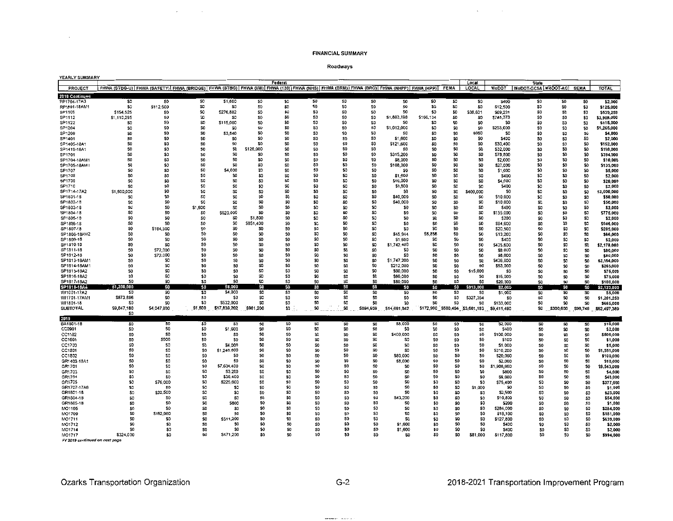$\mathcal{L}(\mathcal{A})$  and  $\mathcal{A}(\mathcal{A})$  .

#### Roadways

| <b>YEARLY SUMMARY</b>  |                |                                                                                                                                                         |                |                            |                      |                 |                |                 |                 |                       |                 |                 |                 |                                             |                                                |            |                |                        |
|------------------------|----------------|---------------------------------------------------------------------------------------------------------------------------------------------------------|----------------|----------------------------|----------------------|-----------------|----------------|-----------------|-----------------|-----------------------|-----------------|-----------------|-----------------|---------------------------------------------|------------------------------------------------|------------|----------------|------------------------|
| PROJECT                |                | FHWA (STBG-U)   FHWA (SAFETY)   FHWA (BRIDGE)   FHWA (STBG)   FHWA (I/M)   FHWA (130)   FHWA (NHS)   FHWA (BRM)   FHWA (BRO)   FHWA (NHPP)   FHWA (HPP) |                |                            |                      | Federal         |                |                 |                 |                       |                 | <b>FEMA</b>     | Local<br>LOCAL  |                                             | <b>State</b><br>MoDOT MoDOT-GCSA MoDOT-AC SEMA |            |                | <b>TOTAL</b>           |
| 2018 Continued         |                |                                                                                                                                                         |                |                            |                      |                 |                |                 |                 |                       |                 |                 |                 |                                             |                                                |            |                |                        |
| RP1704-17A3            | 50             | 50                                                                                                                                                      | \$0            | \$1,600                    | 50                   | \$0             | 50             | 50              | \$0             | \$0                   | \$0             | \$0             | \$0             | \$400                                       | \$0                                            | \$0        | \$0            | \$2,000                |
| RP1801-18AM1           | SO.            | \$112,500                                                                                                                                               | 50             | \$0                        | SO <sub>1</sub>      | SO <sub>1</sub> | \$0            | \$0             | <b>SO</b>       | \$0                   | \$O             | \$û             | \$0             | \$12,500                                    | 50                                             | \$0        | \$0            | \$125,000              |
| SP1106                 | \$154,525      | S <sub>0</sub>                                                                                                                                          | \$0            | \$276,882                  | SO                   | \$0             | \$O            | 50              | \$0             | \$0                   | \$0             | 50              | \$38,631        | \$69,221                                    | \$O                                            | \$0        | SO             | \$539,259              |
| SP1112                 | \$1,110,295    | S <sub>0</sub>                                                                                                                                          | 50             | 30                         | SO                   | \$0             | 50             | \$0             | SO.             | \$1,883,198           | \$166,134       | 50              | \$0             | \$748.373                                   | S0                                             | 50         | SO.            | \$3,908,000            |
| SP1122                 | \$0            | SO                                                                                                                                                      | \$D            | \$115,000                  | \$0                  | \$0             | 50             | \$0             | \$O             | S0                    | SO.             | 50              | \$0             | ന                                           | \$0                                            | \$0        | SO             | \$115,000              |
| SP1204                 | S0             | S <sub>0</sub>                                                                                                                                          | SO.            | S <sub>0</sub>             | SO.                  | SO.             | \$0            | 50              | \$0             | \$1,012,000           | \$0             | S0              | 50              | \$253,000                                   | 50                                             | \$0        | <b>SO</b>      | \$1,265,000            |
| SP1209                 | SD             | S <sub>0</sub>                                                                                                                                          | SO.            | \$3,840                    | \$0                  | S <sub>0</sub>  | 50             | S <sub>0</sub>  | \$O             | SD.                   | \$0             | S <sub>0</sub>  | \$960           | <b>SO</b>                                   | \$0                                            | 50         | SO             | \$4,800                |
| SP1401                 | SO.            | \$O                                                                                                                                                     | SO.            | 50                         | \$0                  | S <sub>0</sub>  | \$0            | S <sub>0</sub>  | \$0             | \$1,600               | SD <sub>1</sub> | SO <sub>1</sub> | \$0             | \$400                                       | \$0                                            | SO         | 50             | \$2,000                |
| SP1405-18A1            | SO             | SO                                                                                                                                                      | S0             | S <sub>0</sub>             | SO.                  | SO              | SO.            | 50              | \$0             | \$121,600             | \$0             | 50              | SO              | \$30,400                                    | SO.                                            | S0         | \$0            | \$152,000              |
| SP1419-18A1            | S <sub>D</sub> | \$0                                                                                                                                                     | \$0            | SO                         | \$128,000            | \$0             | 50             | S <sub>0</sub>  | \$0             | 50                    | \$0             | \$0             | SO.             | \$32,000                                    | 50                                             | 50         | \$0            | \$160,000              |
| SP1701                 | S <sub>0</sub> | \$0                                                                                                                                                     | 50             | SO.                        | \$0                  | \$0             | \$0            | \$0             | \$0             | \$315,200             | 50              | \$0             | \$0             | \$78,800                                    | \$0                                            | <b>SO</b>  | \$0            | \$394,000              |
| SP1704-18AM*           | SO             | 50                                                                                                                                                      | SO.            | \$0                        | SO.                  | \$0             | SO.            | SO.             | 50              | \$8,000               | SO.             | \$0             | 30              | \$2,000                                     | SO.                                            | SO.        | \$0            | \$10,000               |
| SP1705-18AM*           | SO.            | \$0                                                                                                                                                     | S <sub>0</sub> | S <sub>0</sub>             | SO                   | \$0             | \$O            | 50              | 50              | \$108,000             | \$0             | 50              | \$0             | \$27,000                                    | \$0                                            | \$0        | \$0            | \$135,000              |
| SP1707                 | S0             | SO.                                                                                                                                                     | \$0            | \$4.000                    | \$0                  | \$0             | SO.            | 50              | \$0             | SO                    | \$0             | \$0             | \$0             | \$1,000                                     | \$0                                            | \$0        | SO.            | \$5,000                |
| SP1708                 | SO.            | \$0                                                                                                                                                     | \$0            | \$0                        | \$0                  | \$0             | S <sub>0</sub> | S0              | \$O             | \$1,600               | SO.             | \$O             | \$0             | \$400                                       | \$0                                            | \$0        | \$0            | \$2,000                |
| SP1709                 | \$O            | \$0                                                                                                                                                     | 50             | \$0                        | \$0                  | \$0             | SO.            | \$0             | 50              | \$16,000              | \$0             | \$0             | \$0             | \$4,000                                     | \$0                                            | \$0        | \$0            | \$20,000               |
| SP1710                 | \$0            | 50                                                                                                                                                      | \$0            | \$0                        | SO                   | \$0             | SO.            | S0              | \$0             | \$1,600               | \$0             | 50              | \$0             | \$400                                       | \$0                                            | \$0        | \$0            | \$2.000                |
| SP1714-17A2            | \$1,600,000    | SO.                                                                                                                                                     | \$0            | 50                         | S0                   | \$O             | SO.            | \$0             | SO.             | S.                    | \$0             | \$O             | \$400,000       | 50                                          | \$O                                            | \$0        | \$0            | \$2,000,000            |
| SP1801-18              | \$0            | S <sub>0</sub>                                                                                                                                          | SO             | \$0                        | <b>SD</b>            | SO <sub>1</sub> | \$O            | 50              | \$0             | \$40,000              | \$0             | SO.             | \$0             | \$10,000                                    | \$0                                            | \$0        | \$0            | \$50,000               |
| SP1802-18              | SO.            | S <sub>0</sub>                                                                                                                                          | \$û            | 50                         | SO                   | \$0             | S0             | S0              | SO              | \$40,000              | \$0             | 50              | \$0             | \$10,000                                    | \$0                                            | 50         | \$0            | \$50,000               |
| SP1803-18              | \$0            | S <sub>0</sub>                                                                                                                                          | \$1,600<br>50  | \$0                        | \$0                  | \$0             | \$0            | \$0             | \$O             | \$0                   | \$0             | \$0             | \$0             | \$400                                       | \$0                                            | \$0        | \$O            | \$2,000                |
| SP1804-18<br>SP1805-18 | \$0<br>\$O     | \$0<br>S <sub>0</sub>                                                                                                                                   | \$û            | .000<br><b>S620</b><br>\$0 | <b>SO</b><br>\$1,800 | \$0<br>\$0      | \$0<br>\$0     | <b>SD</b><br>SO | \$0<br>\$0      | S <sub>0</sub><br>SO. | \$0<br>\$0      | \$0<br>50       | 50<br>\$0       | \$155,000                                   | \$0<br>\$0                                     | \$0        | 50             | \$775,000              |
|                        | 50             | \$0                                                                                                                                                     | \$0            | \$0                        | \$851,400            | 50              | \$0            | \$0             | \$0             | \$O                   | \$0             | \$0             | 50              | \$200                                       |                                                | \$0        | SO.<br>50      | \$2,000                |
| SP1806-18<br>SP1807-18 | \$0            | \$184,500                                                                                                                                               | SO.            | SO.                        | SO                   | 50              | \$0            | \$0             | \$0             | SO                    | \$0             | 50              | SO.             | \$94,600<br>\$20,500                        | \$0<br>SO.                                     | \$0<br>\$0 |                | \$946,000<br>\$205,000 |
| SP1808-18AM2           | \$O            | \$0                                                                                                                                                     | \$0            | 50                         | \$0                  | 50              | 50             | S <sub>0</sub>  | \$0             | \$45,944              | \$6,856         | SO.             | \$0             | \$13,200                                    | \$0                                            | 50         | \$O<br>SD      | \$66,000               |
| SP1809-18              | SO.            | \$O                                                                                                                                                     | SO.            | \$0                        | \$0                  | SO.             | \$û            | SO              | \$0             | \$1,500               | \$0             | \$0             | SO.             | \$400                                       | SO                                             | \$0        | 50             | \$2,000                |
| SP1810-18              | SO.            | so                                                                                                                                                      | SO.            | \$O                        | 50                   | SO.             | 50             | SO.             | \$0             | \$1,742,400           | \$0             | SO.             | SO              | \$435,600                                   | \$0                                            | SO.        | \$0            | \$2,178,000            |
| SP1811-18              | SO.            | \$72,000                                                                                                                                                | \$0            | S <sub>0</sub>             | \$0                  | \$0             | SO.            | \$0             | 50              | \$0                   | S <sub>0</sub>  | 50              | <b>SO</b>       | \$8,000                                     | SO                                             | SO.        | SO             | \$80,000               |
| SP1812-18              | SO.            | \$72,000                                                                                                                                                | SO.            | SO                         | \$0                  | SO.             | \$0            | SO              | \$0             | SC.                   | \$0             | SO.             | 50              | \$8,000                                     | S <sub>0</sub>                                 | SO.        | \$0            | \$80,000               |
| SP1813-18AM1           | SO.            | \$0                                                                                                                                                     | 50             | S <sub>0</sub>             | \$O                  | \$0             | \$0            | \$O             | \$0             | \$1,747,200           | \$O             | \$0             | \$0             | \$436,800                                   | SO                                             | SO.        | 50             | \$2,184,000            |
| SP1814-18AM1           | \$0            | \$0                                                                                                                                                     | \$0            | \$0                        | SO.                  | \$0             | 50             | \$O             | 50              | \$212,000             | \$0             | \$0             | \$0             | \$53,000                                    | \$0                                            | SO.        | \$0            | \$265,000              |
| SP1815-18A2            | S <sub>0</sub> | \$0                                                                                                                                                     | \$0            | S <sub>0</sub>             | 50                   | S0              | SO             | \$0             | \$O             | \$60,000              | \$0             | SO.             | \$15,000        | S0                                          | \$0                                            | SO         | \$0            | \$75,000               |
| SP1816-18A2            | SO.            | \$0                                                                                                                                                     | \$0            | SO                         | \$0                  | \$0             | SO.            | \$0             | SO              | \$60,000              | SO.             | \$0             | \$0             | \$15,000                                    | \$0                                            | SO.        | \$0            | \$75,000               |
| SP1817-18A2            | S0             | \$0                                                                                                                                                     | SO.            | S0                         | 50                   | \$O             | \$0            | SO.             | \$0             | \$80,000              | \$0             | SO.             | SO <sub>1</sub> | \$20,000                                    | \$O                                            | SO.        | \$0            | \$100,000              |
| SP1818-18A4            | \$1,200,000    | SG                                                                                                                                                      | \$0            | \$8,000                    | \$0                  | SO.             | 50             | SO              | SO              | \$0                   | SO              | <b>SO</b>       | \$913,000       | \$2,000                                     | 50                                             | 50         | \$0            | .123,000               |
| WI1001-17A2            | SO.            | SO.                                                                                                                                                     | \$0            | \$4,000                    | <b>SO</b>            | \$0             | 80             | 50              | SO.             | SO.                   | SO.             | 50              | \$0             | \$1,000                                     | \$0                                            | 50         | SO.            | \$5.000                |
| WI1701-17AM1           | \$873.896      | 50                                                                                                                                                      | \$O            | \$0                        | SO <sub>1</sub>      | \$0             | SO             | \$O             | SO.             | SO.                   | \$0             | \$O             | \$327,354       | S0                                          | \$0                                            | \$0        | \$0            | \$1,201,250            |
| WI1801-18              | SD.            | 50                                                                                                                                                      | \$O            | \$532,000                  | SO <sub>1</sub>      | \$0             | \$0            | \$O             | \$0             | S <sub>0</sub>        | SO.             | \$O             | \$0             | \$133,000                                   | \$0                                            | 50         | \$0            | \$665,000              |
| <b>SUBTOTAL</b>        | \$9,847,180    | \$4,047,800                                                                                                                                             | \$1,600        | \$17,839,202               | \$981,200            | \$0             | SO             | SO              | \$894,959       | \$14,661,942          |                 |                 |                 | \$172,990 \$580,494 \$3,661,183 \$9,411,490 | \$0                                            | \$300,600  | \$96,749       | \$62,497,389           |
|                        | SO.            |                                                                                                                                                         |                |                            |                      |                 |                |                 |                 |                       |                 |                 |                 |                                             |                                                |            |                |                        |
| 2019                   |                |                                                                                                                                                         |                |                            |                      |                 |                |                 |                 |                       |                 |                 |                 |                                             |                                                |            |                |                        |
| BA1801-18<br>CC0901    | \$0<br>\$0     | SO.<br>S <sub>0</sub>                                                                                                                                   | \$0<br>\$0     | \$0<br>\$1,600             | SO.<br>SO.           | \$0<br>\$0      | \$0<br>50      | \$0<br>\$0      | 50<br>\$0       | \$8,000<br>SO.        | \$0<br>\$0      | 50<br>\$0       | \$0<br>\$0      | \$2,000<br>\$400                            | \$0                                            | \$0        | \$0            | \$10,000               |
|                        | \$D            | S <sub>0</sub>                                                                                                                                          | 50             | \$0                        | \$0                  | SO <sub>1</sub> | \$0            | \$0             | \$0             | \$400,000             | \$0             | \$0             | 50              | \$100,000                                   | \$0<br>50                                      | \$0<br>\$0 | \$0            | \$2,000                |
| CC1102<br>CC1601       | 50             | \$900                                                                                                                                                   | 50             | \$0                        | SO.                  | SO.             | \$0            | 50              | \$0             | \$0                   | \$0             | 50              | S <sub>0</sub>  | \$100                                       | 50                                             | 50         | SO.<br>S0      | \$500,000<br>\$1,000   |
| CC1703                 | SO             | \$0                                                                                                                                                     | S <sub>0</sub> | \$4,000                    | \$0                  | S <sub>0</sub>  | \$0            | SO.             | \$û             | \$0                   | \$0             | SO.             | S <sub>0</sub>  | \$1,000                                     | S0                                             | SO.        | \$0            | \$5,000                |
| CC1801                 | \$0            | \$0                                                                                                                                                     | \$0            | \$1,240,800                | \$0                  | S <sub>0</sub>  | \$0            | 50              | \$0             | \$0                   | \$0             | 50              | 50              | \$310,200                                   | S <sub>0</sub>                                 | SO.        | \$0            | \$1,551,000            |
| CC1802                 | \$0            | 50                                                                                                                                                      | S <sub>0</sub> | \$O                        | \$0                  | SO <sub>1</sub> | 50             | SO.             | \$0             | \$80,000              | \$0             | SO.             | \$0             | \$20,000                                    | \$O                                            | S0         | \$0            | \$100,000              |
| GR1403-18A1            | \$0            | 50                                                                                                                                                      | SO             | sa                         | SO                   | SO.             | 50             | \$O             | S <sub>0</sub>  | \$8,000               | \$0             | 50              | S <sub>0</sub>  | \$2,000                                     | \$0                                            | <b>SO</b>  | <b>SO</b>      | \$10,000               |
| GR1701                 | S <sub>0</sub> | \$O                                                                                                                                                     | S <sub>0</sub> | \$7,634,400                | SO <sub>1</sub>      | <b>SO</b>       | SO             | S <sub>0</sub>  | SO <sub>1</sub> | 50                    | SO.             | SO.             | SO.             | ,908,600                                    | S <sub>0</sub>                                 | 50         | SO.            | \$9,543,000            |
| GR1703                 | \$O            | \$0                                                                                                                                                     | \$O            | \$3,200                    | \$0                  | \$0             | S <sub>0</sub> | \$0             | S <sub>0</sub>  | 50                    | SO.             | \$0             | SO.             | \$800                                       | SO                                             | \$0        | <b>SO</b>      | \$4,000                |
| GR1704                 | \$0            | \$0                                                                                                                                                     | \$0            | \$38,400                   | 50                   | \$0             | \$0            | SO.             | S <sub>0</sub>  | \$0                   | SO.             | \$0             | 50              | \$9,600                                     | 50                                             | \$0        | S <sub>0</sub> | \$48,000               |
| GR1705                 | \$0            | \$76,000                                                                                                                                                | \$0            | \$225,600                  | 50                   | \$0             | \$0            | SO.             | S <sub>0</sub>  | 50                    | \$0             | \$0             | \$0             | \$75,400                                    | \$0                                            | \$0        | \$0            | \$377,000              |
| GR1707-17A6            | 50             | SO.                                                                                                                                                     | \$0            | 50                         | SO <sub>1</sub>      | \$Q             | SO             | \$O             | SO              | S <sub>0</sub>        | \$0             | \$0             | \$1,000         | SQ.                                         | \$0                                            | \$0        | \$0            | \$1,000                |
| GR1801-18              | \$O            | \$22,500                                                                                                                                                | \$0            | \$0                        | SO <sub>1</sub>      | \$0             | \$0            | \$D             | S0              | SO.                   | \$0             | \$0             | \$0             | \$2,500                                     | \$0                                            | \$0        | \$0            | \$25,000               |
| GR1804-18              | 50             | S0                                                                                                                                                      | \$0            | 50                         | SO.                  | \$0             | \$0            | \$0             | \$0             | \$43,200              | \$0             | \$0             | \$0             | \$10,800                                    | \$0                                            | \$0        | \$0            | \$54,000               |
| GR1805-18              | \$0            | SO.                                                                                                                                                     | \$0            | \$800                      | SO.                  | \$0             | \$0            | \$0             | \$0             | \$0                   | \$0             | \$0             | \$0             | \$200                                       | \$0                                            | \$0        | \$0            | \$1,000                |
| MO1105                 | \$0            | 50                                                                                                                                                      | 50             | \$0                        | \$0                  | 50              | \$0            | 50              | \$0             | SO.                   | \$0             | \$0             | SD.             | \$284,000                                   | 50                                             | \$0        | 50             | \$284,000              |
| MO1709                 | \$O            | 5162,900                                                                                                                                                | 50             | SO.                        | 50                   | SO.             | \$0            | SO.             | \$0             | 50                    | \$0             | 50              | 50              | \$18,100                                    | SO.                                            | \$0        | SO             | \$181,000              |
| MO1711                 | \$O            | SO.                                                                                                                                                     | S <sub>0</sub> | \$511,200                  | SO <sub>1</sub>      | S0              | \$0            | S <sub>0</sub>  | \$0             | sn.                   | \$û             | SO.             | SO.             | \$127,800                                   | SO.                                            | \$0        | SO.            | \$639,000              |
| MO1712                 | \$O            | \$0                                                                                                                                                     | \$O            | SO.                        | \$0                  | \$0             | \$D            | SO.             | \$0             | \$1,600               | \$0             | \$0             | \$0             | \$400                                       | \$0                                            | SO.        | SO.            | \$2,000                |
| MO1714                 | SO             | \$û                                                                                                                                                     | \$O            | SO                         | \$0                  | \$0             | 50             | \$0             | 50              | \$1,600               | 50              | \$0             | \$0             | \$400                                       | \$0                                            | SO.        | \$0            | \$2,000                |
| MO1717                 | \$324,000      | \$0                                                                                                                                                     | S <sub>0</sub> | \$471,200                  | \$0                  | SO.             | \$0            | SO.             | \$0             | 50                    | \$Û             | \$0             | \$81,000        | \$117,800                                   | S0                                             | \$0        | \$0            | \$994,000              |

MOTTH<br>MO1717 \$324,000<br>FY 2019 continued on next page

 $\sim$ 

Ozarks Transportation Organization

 $\mathcal{A}_\text{max}$  and  $\mathcal{A}_\text{max}$  and  $\mathcal{A}_\text{max}$ 

 $\label{eq:convergence} \begin{minipage}{0.9\linewidth} \begin{minipage}{0.9\linewidth} \begin{minipage}{0.9\linewidth} \begin{minipage}{0.9\linewidth} \begin{minipage}{0.9\linewidth} \end{minipage} \begin{minipage}{0.9\linewidth} \begin{minipage}{0.9\linewidth} \end{minipage} \begin{minipage}{0.9\linewidth} \begin{minipage}{0.9\linewidth} \end{minipage} \begin{minipage}{0.9\linewidth} \begin{minipage}{0.9\linewidth} \end{minipage} \begin{minipage}{0.9\linewidth} \end{minipage} \begin{minipage}{0.9\linewidth} \begin{minipage}{0$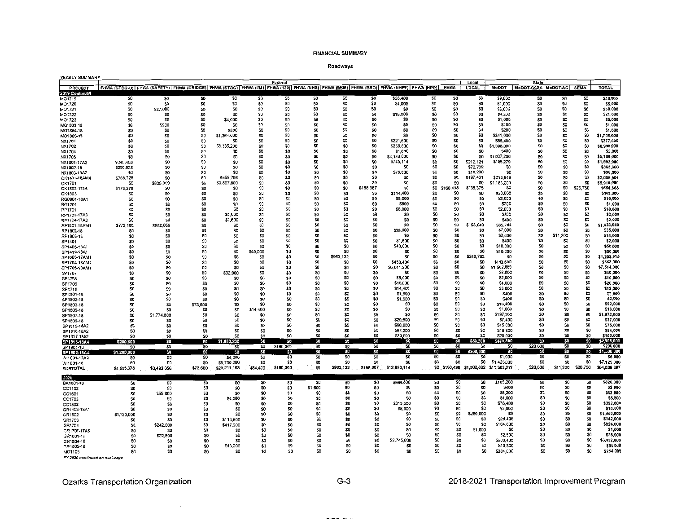### Roadways

| <b>YEARLY SUMMARY</b>          |                                                                                                                                         |                       |                                  |                 |                                    | Federal                |                      |                        |                |                          |                |            |                                   |                                                        |                                          |                        |                 |                             |
|--------------------------------|-----------------------------------------------------------------------------------------------------------------------------------------|-----------------------|----------------------------------|-----------------|------------------------------------|------------------------|----------------------|------------------------|----------------|--------------------------|----------------|------------|-----------------------------------|--------------------------------------------------------|------------------------------------------|------------------------|-----------------|-----------------------------|
| PROJECT                        | FHWA (STBG-U) FHWA (SAFETY) FHWA (BRIDGE) FHWA (STBG) FHWA (MN) FHWA (130) FHWA (NHS) FHWA (BRM) FHWA (BRO) FHWA (NHPP) FHWA (HPP) FEMA |                       |                                  |                 |                                    |                        |                      |                        |                |                          |                |            | Local<br><b>LOCAL</b>             | <b>MoDOT</b>                                           | <b>State</b><br>MoDOT-GCSA MoDOT-AC SEMA |                        |                 | <b>TOTAL</b>                |
| 2019 Continued                 |                                                                                                                                         |                       |                                  |                 |                                    |                        |                      |                        |                |                          |                |            |                                   |                                                        |                                          |                        |                 |                             |
| MO1719                         | 50                                                                                                                                      | 50                    | 50                               | \$0             | S <sub>0</sub>                     | SD                     | SO.                  | \$0                    | SO             | \$38,400                 | \$0            | \$0        | \$0                               | \$9,600                                                | SO.                                      | S0                     | 50              | \$48,000                    |
| MO1720                         | \$0                                                                                                                                     | S <sub>0</sub>        | \$0                              | \$0             | \$0                                | \$0                    | 50                   | \$0                    | \$0            | \$4,000                  | \$0            | \$0        | \$0                               | \$1,000                                                | S <sub>0</sub>                           | \$0                    | \$0             | \$5,000                     |
| MO1721                         | 50                                                                                                                                      | \$27,000              | 50                               | \$0<br>\$O      | SO                                 | \$0                    | \$0<br>\$O           | \$O                    | \$0            | S <sub>0</sub>           | \$0            | \$0        | 50                                | \$3,000                                                | \$0                                      | S0                     | \$0             | \$30,000                    |
| MO1722<br>MO1723               | 50<br>SO.                                                                                                                               | \$O<br>S <sub>0</sub> | \$0<br>SO <sub>1</sub>           | \$4,000         | SO<br>\$0                          | \$0<br>\$0             | 50                   | \$0<br>\$0             | 50<br>\$0      | \$16,800<br>\$0          | \$0<br>\$O     | \$0<br>\$0 | \$0<br>50                         | \$4,200<br>\$1,000                                     | \$0<br>\$0                               | 50<br>SO.              | 50<br>\$0       | \$21,000<br>\$5,000         |
| MO1803-18                      | 50                                                                                                                                      | \$900                 | \$0                              | \$0             | SO                                 | \$0                    | S0                   | \$0                    | SO             | 50                       | 50             | \$0        | \$0                               | \$100                                                  | \$O                                      | SO.                    | \$0             | \$1,000                     |
| MO1804-18                      | SO.                                                                                                                                     | SO.                   | \$0                              | \$800           | S0                                 | 50                     | SO.                  | \$0                    | \$O            | S0                       | \$0            | SO.        | SO.                               | \$200                                                  | \$0                                      | 50                     | SO              | \$1,000                     |
| MO1805-18                      | \$0                                                                                                                                     | SO.                   | \$0                              | \$1,364,000     | SO                                 | \$0                    | SO.                  | SO                     | \$0            | S0                       | SO             | 50         | \$0                               | \$341,000                                              | \$O                                      | SO.                    | \$O             | \$1,705,000                 |
| NX1701                         | 50                                                                                                                                      | 50                    | \$0                              | \$0             | Ş0                                 | \$0                    | SO.                  | <b>SO</b>              | \$0            | \$221,600                | 50             | \$0        | \$0                               | \$55,400                                               | 20                                       | 50                     | SO              | \$277,000                   |
| NX1702                         | 50                                                                                                                                      | 50                    | \$0                              | \$5,335<br>,200 | SO <sub>1</sub>                    | \$0                    | \$0                  | \$O                    | 50             | \$256,800                | \$0            | \$0        | \$0                               | \$1,398,000                                            | SO.                                      | 50                     | \$0             | \$6,990,000                 |
| NX1704                         | \$0                                                                                                                                     | \$0                   | \$0                              | 50              | 50                                 | \$O                    | \$0                  | \$0                    | \$0            | \$1,600                  | S <sub>0</sub> | \$0        | SO                                | \$400                                                  | \$0                                      | S0                     | 50              | \$2,000                     |
| NX1705<br>NX1801-17A2          | 50<br>5848.486                                                                                                                          | \$0<br>50             | \$0<br>\$0                       | \$0<br>\$0      | <b>SO</b><br>SO.                   | \$0<br>\$0             | SO.<br>S0            | \$O<br>SO <sub>1</sub> | 50<br>SO.      | \$4,148,800<br>\$745.114 | \$O<br>\$0     | \$0<br>SO. | 50<br>\$212.121                   | \$1,037,200<br>\$186,279                               | \$0<br>SO                                | SO.<br>SO              | S0<br>S0        | \$5,186,000<br>\$1,992,000  |
| NX1802-18                      | 5290.928                                                                                                                                | SO.                   | \$0                              | \$0             | SO.                                | \$0                    | SO.                  | SO <sub>1</sub>        | S <sub>O</sub> |                          | \$0            | \$0        | \$72,732                          | \$0                                                    | \$0                                      | SO.                    | SO.             | \$363,660                   |
| NX1803-18A2                    | <b>s</b> a                                                                                                                              | S <sub>0</sub>        | 50                               | \$0             | SO <sub>1</sub>                    | \$0                    | 50                   | \$O                    | \$O            | \$76,800                 | 50             | \$0        | \$19,200                          | SC <sub>1</sub>                                        | SO                                       | SO.                    | SO              | \$96,000                    |
| OK1401-18AM4                   | \$788,726                                                                                                                               | SO.                   | 50                               | \$855,798       | SO.                                | 50                     | SO.                  | \$0                    | S <sub>0</sub> | SO                       | \$D            | \$0        | 5197.431                          | \$213,949                                              | \$0                                      | 50                     | \$O             | \$2,055,904                 |
| OK1701                         | SO.                                                                                                                                     | \$835,000             | \$0                              | \$3,897,800     | \$0                                | \$O                    | S <sub>0</sub>       | \$O                    | S <sub>0</sub> | \$0                      | \$0            | \$0        | \$0                               | \$1,183,200                                            | S <sub>0</sub>                           | 50                     | SO              | \$5,916,000                 |
| OK1802-17A5                    | \$173,278                                                                                                                               | 50                    | \$0                              | SD.             | 50                                 | \$D                    | S <sub>0</sub>       | \$0                    | \$158,967      | \$0                      | 50             | \$160,498  | \$135,375                         | SO.                                                    | \$O                                      | 50                     | \$26,750        | \$654,868                   |
| OK1803                         | SO.                                                                                                                                     | 50                    | \$0                              | SO.             | 50                                 | \$0                    | S <sub>0</sub><br>50 | S <sub>0</sub>         | 50             | \$114,400                | \$0            | S0         | <b>SO</b>                         | \$28,600                                               | \$0                                      | 50                     | <b>SO</b>       | \$143,000                   |
| RG0901-18A1<br>RG1201          | \$0<br>\$O                                                                                                                              | \$0<br>S0             | \$0<br>\$0                       | \$0<br>50       | \$0<br>SO <sub>1</sub>             | \$0<br>\$0             | 50                   | SO.<br>\$0             | \$0<br>SO.     | \$8,000<br>\$800         | \$0<br>30      | -80<br>\$O | SO <sub>1</sub><br>S <sub>0</sub> | \$2,000<br>\$200                                       | SO.<br>so                                | \$0<br>50              | 50<br>S0        | \$10,000<br>\$1,000         |
| RP1701                         | \$O                                                                                                                                     | SO                    | \$0                              | <b>SO</b>       | \$0                                | \$0                    | SO                   | \$0                    | SO.            | \$8,000                  | SO.            | \$O        | S <sub>0</sub>                    | \$2,000                                                | SO.                                      | 50                     | \$0             | \$10,000                    |
| RP1703-17A3                    | 50                                                                                                                                      | \$O                   | \$0                              | \$1,600         | SO.                                | \$0                    | SO                   | SO.                    | \$0            | \$0                      | \$O            | \$O        | SO.                               | \$400                                                  | S <sub>0</sub>                           | 50                     | \$O             | \$2,000                     |
| RP1704-17A3                    | \$0                                                                                                                                     | S <sub>0</sub>        | 50                               | \$1,600         | SO                                 | \$0                    | \$0                  | \$0                    | \$O            | 50                       | \$0            | S0         | \$0                               | \$400                                                  | \$0                                      | SO.                    | SO.             | \$2,000                     |
| RP1801-18AM1                   | \$772,160                                                                                                                               | \$592,056             | \$0                              | <b>SO</b>       | <b>SD</b>                          | \$0                    | S <sub>0</sub>       | \$O                    | SO             | 50                       | \$0            | \$0        | \$193,040                         | S65,784                                                | \$O                                      | SO                     | \$0             | \$1,623,040                 |
| RP1802-18                      | SO.                                                                                                                                     | <b>SO</b>             | \$0                              | SD.             | \$0                                | \$0                    | \$0                  | \$O                    | SO             | \$28,000                 | \$0            | \$0        | 50                                | \$7,000                                                | SO                                       | 50                     | \$0             | \$35,000                    |
| RP1803-18                      | \$0                                                                                                                                     | S0                    | \$0                              | \$O             | S0                                 | \$0                    | 50<br>S0             | \$O                    | \$0<br>SO.     | 50                       | \$0            | \$0        | SO.                               | \$2,800                                                | \$0                                      | ,200<br>S1             | SO              | \$14,000                    |
| SP1401<br>SP1405-18A1          | \$0<br>50                                                                                                                               | so<br>\$O             | \$0<br>\$0                       | \$0<br>\$0      | SO.<br>SO.                         | 50<br>\$0              | \$0                  | \$0<br>\$O             | 80             | \$1,600<br>\$40,000      | \$0<br>SO.     | \$0<br>\$0 | 30<br>\$0                         | \$400<br>\$10,000                                      | \$0<br>SO.                               | -50<br>SO.             | \$0<br>SO.      | \$2,000<br>\$50,000         |
| SP1419-18A1                    | \$0                                                                                                                                     | S <sub>0</sub>        | \$O                              | \$0             | \$40,000                           | \$0                    | SO.                  | 50                     | \$0            | SO.                      | \$0            | \$0        | \$0                               | \$10,000                                               | SO.                                      | SO <sub>1</sub>        | \$O             | \$50,000                    |
| SP1605-17AM1                   | SO.                                                                                                                                     | S0                    | \$0                              | \$û             | S0                                 | \$0                    | S <sub>0</sub>       | \$963.132              | S <sub>0</sub> | \$0                      | SO.            | SO.        | \$240,783                         | \$0                                                    | S <sub>0</sub>                           | SO.                    | 50              | \$1,203,915                 |
| SP1704-18AM1                   | 50                                                                                                                                      | \$0                   | S0                               | 50              | S <sub>0</sub>                     | SO <sub>1</sub>        | SO.                  | \$0                    | S <sub>0</sub> | \$450,400                | S <sub>0</sub> | S0         | SO.                               | \$112,600                                              | S <sub>0</sub>                           | SO <sub>1</sub>        | SO              | \$563,000                   |
| SP1705-18AM1                   | 50                                                                                                                                      | SO                    | \$0                              | \$0             | <b>SO</b>                          | \$0                    | 50                   | \$0                    | SO             | \$6,011,200              | SO             | \$0        | \$0                               | ,502,800                                               | 50                                       | \$O                    | \$O             | \$7,514,000                 |
| SP1707                         | \$0                                                                                                                                     | \$0                   | \$0                              | \$32,000        | S <sub>0</sub>                     | \$0                    | S <sub>0</sub>       | \$O                    | \$0            | SO.                      | SO.            | SO.        | \$0                               | \$8,000                                                | S <sub>0</sub>                           | SO.                    | 50              | \$40,000                    |
| SP1708                         | 50                                                                                                                                      | \$0<br>SO.            | 50<br>\$0                        | \$0<br>\$0      | SO <sub>1</sub><br>SO <sub>1</sub> | \$O<br>50              | SO.<br>\$0           | \$O<br>\$0             | SO<br>SO       | \$8,000                  | \$0<br>\$0     | 30<br>\$0  | 50<br>50                          | \$2,000                                                | SO.<br>\$0                               | SO <sub>1</sub><br>\$0 | \$0<br>SO       | \$10,000                    |
| SP1709<br>SP1710               | \$O<br>SO                                                                                                                               | SO.                   | \$0                              | \$0             | S <sub>0</sub>                     | \$0                    | SO.                  | \$O                    | \$0            | \$16,000<br>\$14,400     | S <sub>0</sub> | \$0        | \$0                               | \$4,000<br>\$3,600                                     | \$0                                      | <b>SO</b>              | \$0             | \$20,000<br>\$18,000        |
| SP1801-18                      | \$O                                                                                                                                     | SO.                   | 50                               | \$0             | SO                                 | \$0                    | \$0                  | 50                     | \$0            | \$1,600                  | S <sub>0</sub> | \$0        | \$0                               | \$400                                                  | \$0                                      | S <sub>0</sub>         | SO <sub>1</sub> | \$2,000                     |
| SP1802-18                      | SO                                                                                                                                      | \$0                   | 50                               | \$O             | \$0                                | \$0                    | \$0                  | SO.                    | \$0            | \$1,600                  | SO             | \$0        | \$0                               | \$400                                                  | SO.                                      | \$0                    | SO.             | \$2,000                     |
| SP1803-18                      | SO                                                                                                                                      | SO.                   | \$73,600                         | 50              | SO                                 | 50                     | \$0                  | SO                     | \$O            | \$O                      | \$0            | 50         | SO.                               | \$18,400                                               | \$0                                      | \$0                    | \$0             | \$92,000                    |
| SP1805-18                      | 50                                                                                                                                      | S0                    | SO <sub>1</sub>                  | 50              | \$14,400                           | 50                     | \$0                  | SO <sub>1</sub>        | 50             | \$0                      | \$0            | 50         | \$0                               | \$1,600                                                | \$0                                      | <b>SD</b>              | \$0             | \$16,000                    |
| SP1807-18                      | SO                                                                                                                                      | \$1,774,800           | \$0                              | 50              | \$0                                | \$0                    | 50                   | \$0                    | \$0            | \$O                      | \$0            | \$0        | \$0                               | \$197,200                                              | \$0                                      | \$0                    | \$0             | \$1,972,000                 |
| SP1809-18                      | SO.                                                                                                                                     | 50                    | \$0<br>SO.                       | 50<br>\$0       | SO<br>\$0                          | \$0<br>\$0             | 50<br>\$0            | \$0<br>50              | S0<br>\$0      | \$29,600<br>\$60,000     | 50<br>\$0      | \$0<br>\$0 | 50<br>\$0                         | \$7,400<br>\$15,000                                    | \$0<br>\$0                               | \$0<br>\$0             | SO<br>\$0       | \$37,000<br>\$75,000        |
| SP1815-18A2<br>SP1816-18A2     | \$0<br>50                                                                                                                               | \$0<br>\$0            | SO.                              | 50              | \$0                                | 50                     | \$0                  | S0                     | \$O            | \$67,200                 | sa.            | 50         | \$0                               | \$16,800                                               | \$0                                      | \$0                    | \$0             | \$84,000                    |
| SP1817-18A2                    | S <sub>0</sub>                                                                                                                          | \$0                   | SO.                              | 50              | \$0                                | SO.                    | \$0                  | SO                     | S.O            | \$80,000                 | \$û            | SO.        | \$0                               | \$20,000                                               | \$0                                      | \$0                    | \$O             | \$100,000                   |
| SP1818-18A4                    | ,800                                                                                                                                    | SO                    | \$0                              | .200<br>S1.8    | \$0                                | \$0                    | SO                   | SC                     | \$0            | \$0                      | \$0            | \$0        | \$50,200                          | \$470,800                                              | 50                                       | \$0                    | 50              | 2,605,000                   |
| SP1901-18                      | SO                                                                                                                                      | \$0                   | 50                               | SO.             | SO.                                | \$180,000              | \$0                  | \$0                    | \$0            | \$O                      | \$0            | \$0        | <b>SO</b>                         | S <sub>0</sub>                                         | \$20,000                                 | \$0                    | SO.             | \$200,000                   |
| SP1902-18A4                    | \$1,200,000                                                                                                                             | SO.                   | \$O                              | SO              | SD                                 | 50                     | \$0                  | ŜC                     | \$0            | 30                       | S0             | \$0        | S300.                             | 30                                                     | SO                                       | \$0                    | SO.             | 1,500,000                   |
| WI1001-17A2                    | SO.                                                                                                                                     | SO.                   | SO.                              | \$4,000         | \$0                                | 50                     | \$0<br>\$0           | \$0                    | \$0<br>50      | 50<br>SO                 | \$0<br>50      | \$0        | \$0<br>\$0                        | \$1,000                                                | \$0<br>\$0                               | SO<br>\$0              | \$0<br>\$0      | \$5,000                     |
| WI1801-18                      | \$O                                                                                                                                     | SO.                   | \$O                              | \$5,700,000     | 50<br>\$54,400                     | \$0<br>\$180,000       | \$0                  | \$0<br>\$963,132       |                | \$158,967 \$12,993,114   |                | \$0        |                                   | \$1,425,000<br>\$0. \$160,498 \$1,502,882 \$11,363,212 | \$20,000                                 | \$11,200               | \$26,750        | \$7,125,000<br>\$64,809,387 |
| <b>SUBTOTAL</b>                | \$4,598,378                                                                                                                             | \$3,492,056           | \$73,600                         | \$29,211,198    |                                    |                        |                      |                        |                |                          |                |            |                                   |                                                        |                                          |                        |                 |                             |
| 2020                           |                                                                                                                                         |                       |                                  |                 |                                    |                        |                      |                        |                |                          |                |            |                                   |                                                        |                                          |                        |                 |                             |
| BA1801-18                      | \$0                                                                                                                                     | SO <sub>1</sub>       | \$O                              | \$0             | SO                                 | \$0                    | SO                   | \$0                    | \$0            | \$660,800                | \$O            | \$0        | \$O                               | \$165,200                                              | \$0                                      | \$0                    | 50              | \$826,000                   |
| CC1102                         | \$0                                                                                                                                     | <b>SD</b>             | <b>SO</b>                        | \$0             | SO.                                | SO.                    | \$1,600              | \$0                    | \$0            | 50                       | 50             | \$0        | \$0                               | \$400                                                  | \$0                                      | \$0                    | SO.             | \$2,000                     |
| CC1501                         | 50<br>SO.                                                                                                                               | \$55,800<br>\$0       | S <sub>0</sub><br>S <sub>0</sub> | \$0<br>\$4,000  | \$0<br>\$0                         | 50<br>SO.              | \$0<br>\$0           | 50<br>SO.              | SO.<br>\$O     | \$0<br>\$O               | SO.<br>\$0     | \$0<br>\$0 | \$0<br>\$0                        | \$6,200<br>\$1,000                                     | 50<br>50                                 | \$0<br>\$0             | \$O<br>SO.      | \$62,000<br>\$5,000         |
| CC1703<br>CC1802               | S <sub>0</sub>                                                                                                                          | \$0                   | \$0                              | SO <sub>1</sub> | \$0                                | SO.                    | \$0                  | SO.                    | \$0            | \$313,500                | \$0            | \$0        | \$0                               | \$78.400                                               | \$0                                      | 50                     | \$0             | \$392,000                   |
| GR1403-18A1                    | SO.                                                                                                                                     | 50                    | \$0                              | 50              | \$O                                | SO.                    | \$O                  | SO.                    | 50             | \$8,000                  | \$0            | \$0        | <b>SO</b>                         | 52.000                                                 | 50                                       | \$0                    | SO <sub>1</sub> | \$10,000                    |
| GR1502                         | \$1,120,000                                                                                                                             | 50                    | SO                               | \$0             | SO.                                | SO.                    | 50                   | \$O                    | SO.            | S0                       | \$0            | \$0        | \$280,000                         | SC.                                                    | \$0                                      | \$0                    | \$0             | \$1,400,000                 |
| GR1703                         | \$0                                                                                                                                     | \$0                   | \$O                              | \$113,600       | SO.                                | SO.                    | \$0                  | 50                     | SO.            | \$0                      | SO.            | \$0        | 50                                | \$28,400                                               | \$0                                      | \$0                    | \$0             | \$142,000                   |
| GR1704                         | S <sub>0</sub>                                                                                                                          | \$242,000             | \$0                              | \$417,200       | \$0                                | SO.                    | \$0                  | SO                     | \$O            | S0                       | \$0            | \$0        | \$O                               | \$164,800                                              | \$0                                      | \$0                    | \$0             | \$824,000                   |
| GR1707-17A6                    | S <sub>0</sub>                                                                                                                          | 50                    | \$0                              | S <sub>0</sub>  | \$0                                | SO.                    | \$0                  | \$0                    | SO.            | \$O                      | \$0            | 50         | \$1,000                           | SC.                                                    | \$0                                      | \$0                    | \$0             | \$1,000                     |
| GR1801-18                      | \$0                                                                                                                                     | \$22,500              | SO                               | \$0             | \$0                                | \$0                    | 50                   | \$0                    | \$0            | S0                       | \$0            | \$0        | \$0                               | \$2,500                                                | \$0                                      | \$0                    | \$0             | \$25,000                    |
| GR1804-18<br>GR1805-18         | 50<br>30                                                                                                                                | \$0<br>\$0            | S <sub>0</sub><br>SO.            | \$O<br>\$43.200 | \$O<br>\$O                         | <b>SO</b><br><b>SO</b> | \$0<br>\$0           | 50<br>50               | \$0<br>\$O     | \$2,745,600<br>\$0       | 30<br>\$0      | \$0<br>\$0 | \$0<br>\$0                        | \$686,400<br>\$10,800                                  | \$O<br>\$0                               | \$0<br>\$0             | \$0<br>\$0      | \$3,432,000<br>\$54,000     |
| MO1105                         | SO.                                                                                                                                     | \$0                   | S <sub>0</sub>                   | S <sub>0</sub>  | \$0                                | S <sub>0</sub>         | \$0                  | \$0                    | \$0            | \$0                      | 50             | \$0        | \$0                               | \$284,000                                              | SO.                                      | \$0                    | \$0             | \$284,000                   |
| FY 2020 continued on next page |                                                                                                                                         |                       |                                  |                 |                                    |                        |                      |                        |                |                          |                |            |                                   |                                                        |                                          |                        |                 |                             |

 $\sim$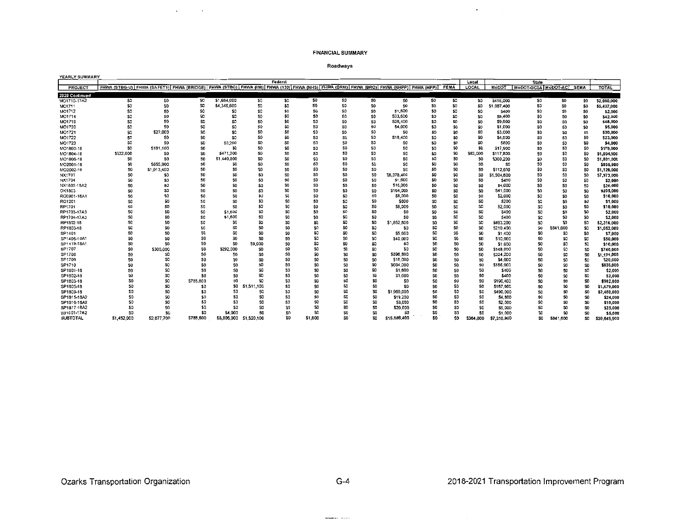¥.

#### Roadways

| YEARLY SUMMARY  |                                                                                                                                         |                |                 |                |                 |         |                |                |                 |                |                |                |                |              |                     |                 |                 |              |
|-----------------|-----------------------------------------------------------------------------------------------------------------------------------------|----------------|-----------------|----------------|-----------------|---------|----------------|----------------|-----------------|----------------|----------------|----------------|----------------|--------------|---------------------|-----------------|-----------------|--------------|
|                 |                                                                                                                                         |                |                 |                |                 | Federal |                |                |                 |                |                |                | Local          |              | <b>State</b>        |                 |                 |              |
| PROJECT         | FHWA (STBG-U) FHWA (SAFETY) FHWA (BRIDGE) FHWA (STBG) FHWA (IM) FHWA (130) FHWA (NHS) FHWA (BRM) FHWA (BRO) FHWA (NHPP) FHWA (HPP) FEWA |                |                 |                |                 |         |                |                |                 |                |                |                | LOCAL          | MoDOT        | MoDOT-GCSA MoDOT-AC |                 | <b>SEMA</b>     | TOTAL        |
| 2020 Continued  |                                                                                                                                         |                |                 |                |                 |         |                |                |                 |                |                |                |                |              |                     |                 |                 |              |
| MO1710-17A2     | \$0                                                                                                                                     | \$0            | \$0             | \$1,664,000    | SO.             | \$0     | 50             | \$0            | \$0             | \$0            | \$0            | \$0            | \$0            | \$416,000    | \$0                 | 50              | \$0             | \$2,080,000  |
| MO1711          | \$0                                                                                                                                     | 50             | \$0             | \$4,349,600    | \$0             | 50      | S <sub>0</sub> | \$0            | SO.             | \$0            | \$0            | \$O            | \$0            | \$1.087.400  | 50                  | \$0             | \$0             | \$5,437,000  |
| MO1712          | \$0                                                                                                                                     | SO.            | \$0             | 50             | S0              | \$0     | 50             | S0             | SO.             | \$1,600        | \$0            | \$0            | \$0            | \$400        | \$0                 | \$0             | \$0             | \$2,000      |
| MO1714          | \$0                                                                                                                                     | \$0            | \$0             | 50             | S0              | \$0     | SO.            | \$û            | SO.             | \$33,600       | \$0            | \$0            | \$0            | \$8,400      | \$0                 | 50              | \$0             | \$42,000     |
| MO1719          | 50                                                                                                                                      | S <sub>0</sub> | \$0             | \$0            | SO              | \$0     | \$0            | \$0            | \$O             | \$38,400       | \$0            | 50             | \$0            | \$9,600      | \$0                 | \$0             | \$0             | \$48,000     |
| MO1720          | SO.                                                                                                                                     | \$0            | \$D             | SO.            | SO.             | SO.     | 50             | \$0            | S0              | \$4,000        | \$0            | 50             | \$0            | \$1,000      | <b>SD</b>           | \$0             | \$0             | \$5,000      |
| MO1721          | \$0                                                                                                                                     | \$27,000       | S0              | \$0            | SO.             | 50      | \$0            | 50             | \$0             | SO.            | \$0            | \$O            | \$0            | \$3,000      | SO                  | \$O             | SO              | \$30,000     |
| MO1722          | 50                                                                                                                                      | SO.            | \$0             | 50             | 50              | \$0     | \$0            | \$0            | \$0             | \$18,400       | \$0            | 50             | \$0            | \$4,600      | \$0                 | 50              | \$0             | \$23,000     |
| MO1723          | 50                                                                                                                                      | \$O            | SO <sub>1</sub> | \$3,200        | \$0             | 50      | SO.            | \$0            | 50              | SO             | 50             | SO             | \$0            | <b>\$800</b> | \$0                 | SO <sub>3</sub> | \$0             | \$4,000      |
| MO1803-18       | \$0                                                                                                                                     | 5161,100       | \$0             | \$0            | S <sub>0</sub>  | \$0     | \$0            | S <sub>0</sub> | \$0             | 50             | \$0            | 50             | SO.            | \$17,900     | S <sub>0</sub>      | 50              | SO.             | \$179,000    |
| MO1804-18       | \$332,000                                                                                                                               | \$0            | \$0             | \$471,200      | SO              | SO.     | 50             | S <sub>0</sub> | \$0             | \$0            | \$0            | SO.            | \$83,000       | \$117,800    | S <sub>0</sub>      | 50              | SO.             | \$1,004,000  |
| MO1806-18       | \$0                                                                                                                                     | 50             | 50              | \$1.440.800    | SO.             | SO.     | SO.            | S <sub>0</sub> | \$0             | \$0            | \$0            | \$0            | SO.            | \$360,200    | S <sub>0</sub>      | \$O             | SO.             | \$1,801,000  |
| MO2001-18       | \$0                                                                                                                                     | \$855,900      | S0              | SO.            | SO.             | SO.     | 50             | S <sub>0</sub> | \$0             | \$0            | \$0            | SO.            | 50             | \$0          | 50                  | 50              | SO.             | \$855,900    |
| MO2002-18       | SO                                                                                                                                      | \$1,013,400    | SO <sub>1</sub> | SO.            | \$0             | \$O     | 50             | SO             | \$0             | \$û            | SO.            | S <sub>0</sub> | \$0            | \$112,600    | S0                  | SO              | SO.             | \$1,126,000  |
| NX1701          | \$0                                                                                                                                     | \$0            | SO.             | SO             | SO              | SO.     | SD.            | S <sub>0</sub> | \$0             | \$6,378,400    | \$0            | \$O            | SO.            | 1.594.600    | S <sub>0</sub>      | \$O             | 50              | \$7,973,000  |
| NX1704          | SO                                                                                                                                      | \$0            | \$0             | SO             | SO.             | \$0     | SD             | S <sub>0</sub> | \$0             | \$1,600        | \$0            | SO.            | SO.            | \$400        | S <sub>0</sub>      | SO              | SO.             | \$2,000      |
| NX1803-18A2     | \$0                                                                                                                                     | 50             | S <sub>0</sub>  | S <sub>0</sub> | \$0             | \$0     | \$O            | S <sub>0</sub> | SO <sub>1</sub> | \$16,000       | \$0            | \$0            | SO.            | \$4,000      | SO                  | SO.             | SO.             | \$20,000     |
| OK1803          | SO                                                                                                                                      | \$0            | S <sub>0</sub>  | SO             | 50              | SO.     | S <sub>0</sub> | \$O            | SO.             | \$164,000      | \$O            | \$O            | \$O            | \$41,000     | SO                  | \$0             | SO              | \$205,000    |
| RG0901-18A1     | SO                                                                                                                                      | \$0            | \$0             | SO.            | \$0             | \$O     | S <sub>0</sub> | \$0            | \$O             | \$8,000        | \$0            | SO.            | \$0            | \$2,000      | \$O                 | SO.             | SO.             | \$10,000     |
| RG1201          | \$O                                                                                                                                     | \$0            | SO              | S0             | \$0             | \$0     | S <sub>0</sub> | \$0            | S <sub>0</sub>  | \$800          | SO             | \$0            | \$O            | \$200        | \$O                 | \$0             | \$0             | \$1,000      |
| RP1701          | SO                                                                                                                                      | S <sub>0</sub> | SO.             | S <sub>D</sub> | 50              | \$0     | \$0            | 50             | S <sub>0</sub>  | \$8,000        | S <sub>0</sub> | \$0            | \$O            | \$2,000      | SO                  | \$0             | SO              | \$10,000     |
| RP1703-17A3     | \$0                                                                                                                                     | 50             | \$D             | \$1,600        | 50              | \$0     | \$O            | SO.            | S <sub>0</sub>  | S <sub>0</sub> | \$0            | \$0            | \$0            | \$400        | \$0                 | \$0             | SO              | \$2,000      |
| RP1704-17A3     | \$0                                                                                                                                     | \$0            | \$O             | \$1,600        | S0              | \$0     | S <sub>0</sub> | \$0            | S0              | S <sub>0</sub> | \$O            | \$0            | \$0            | 5400         | \$0                 | \$0             | \$0             | \$2,000      |
| RP1802-18       | \$0                                                                                                                                     | SO             | 50              | \$0            | \$0             | \$0     | \$0            | \$0            | \$0             | \$1,852,800    | \$0            | \$0            | \$0            | \$463,200    | 50                  | \$0             | 50              | \$2,316,000  |
| RP1803-18       | \$O                                                                                                                                     | 50             | \$0             | 30             | 50              | \$O     | 50             | \$0            | \$0             | SO.            | \$0            | 50             | \$0            | \$210,400    | \$0                 | \$841,600       | SO.             | \$1,052,000  |
| SP1401          | 50                                                                                                                                      | S <sub>0</sub> | SO              | 30             | \$0             | 50      | \$O            | \$0            | \$0             | \$5,600        | \$0            | \$0            | 50             | \$1,400      | 50                  | \$0             | \$0             | \$7,000      |
| SP1405-18A1     | \$O                                                                                                                                     | 50             | \$0             | \$0            | SO.             | \$0     | \$0            | SO             | \$0             | 540,000        | \$0            | 50             | \$0            | \$10,000     | \$0                 | 50              | S0              | \$50,000     |
| SP1419-18A1     | \$0                                                                                                                                     | \$0            | \$0             | 50             | \$9,000         | 50      | \$0            | SO.            | \$0             | \$0            | \$0            | SO.            | SO             | \$1,000      | S0                  | \$0             | \$O             | \$10,000     |
| SP1707          | SO.                                                                                                                                     | \$300,000      | SO.             | \$292,000      | \$0             | 50      | \$0            | SO.            | \$0             | \$0            | \$0            | \$0            | <b>SO</b>      | \$148,000    | 50                  | \$O             | <b>SO</b>       | \$740,000    |
| SP1708          | SO                                                                                                                                      | 50             | S0              | \$0            | 50              | SO.     | \$D            | S <sub>0</sub> | \$0             | \$896,800      | \$0            | \$0            | S <sub>0</sub> | \$224,200    | SO.                 | SO.             | \$O             | \$1,121,000  |
| SP1709          | 50                                                                                                                                      | 50             | S0              | S <sub>0</sub> | \$0             | \$0     | \$O            | 50             | S <sub>0</sub>  | \$16,000       | \$0            | SO.            | \$0            | \$4,000      | SO.                 | SO <sub>1</sub> | <b>SO</b>       | \$20,000     |
| SP1710          | \$0                                                                                                                                     | \$0            | \$O             | SO             | \$0             | \$0     | SO             | S <sub>0</sub> | 50              | \$664,000      | 50             | 50             | \$O            | \$166,000    | \$0                 | SO.             | \$0             | \$830,000    |
| SP1801-18       | S <sub>0</sub>                                                                                                                          | \$0            | SO              | S <sub>0</sub> | SO.             | \$0     | SO.            | \$O            | SO              | \$1,600        | SO             | \$0            | \$O            | \$400        | SO                  | 50              | SO              | \$2,000      |
| SP1802-18       | \$O                                                                                                                                     | \$0            | \$0             | S0             | SO.             | \$0     | SO             | \$0            | S <sub>0</sub>  | \$1,600        | \$0            | \$0            | \$0            | \$400        | \$0                 | SO.             | SO <sub>1</sub> | \$2,000      |
| SP1803-18       | \$O                                                                                                                                     | \$0            | \$785,600       | \$0            | \$û             | \$0     | S <sub>0</sub> | \$û            | S <sub>0</sub>  | \$0            | \$0            | \$O            | \$0            | \$196,400    | 50                  | SO.             | \$0             | \$982,000    |
| SP1805-18       | \$O                                                                                                                                     | \$0            | \$0             | <b>SQ</b>      | \$1,511,100     | \$0     | SO             | <b>SD</b>      | 50              | S <sub>0</sub> | 50             | SO.            | \$0            | \$167,900    | \$0                 | \$0             | \$0             | \$1,679,000  |
| SP1809-18       | 50                                                                                                                                      | \$0            | \$0             | \$0            | SO              | \$0     | 50             | \$0            | \$0             | \$1,960,000    | \$0            | \$O            | \$O            | \$490,000    | \$0                 | SO.             | \$0             | \$2,450,000  |
| SP1815-18A2     | \$0                                                                                                                                     | 50             | \$0             | \$0            | SO <sub>1</sub> | \$0     | \$0            | SO             | \$0             | \$19,200       | \$0            | 50             | \$0            | \$4,800      | \$0                 | \$0             | \$0             | \$24,000     |
| SP1816-18A2     | SO <sub>1</sub>                                                                                                                         | S <sub>0</sub> | SO.             | \$0            | 50              | S0      | \$0            | 50             | \$0             | 58,000         | \$0            | \$0            | \$0            | \$2,000      | \$O                 | \$0             | SO              | \$10,000     |
| SP1817-18A2     | \$0                                                                                                                                     | SO             | \$0             | 50             | SO <sub>1</sub> | \$0     | \$0            | S0             | \$O             | \$20,000       | \$0            | \$0            | \$0            | \$5,000      | \$0                 | 50              | \$0             | \$25,000     |
| WI1001-17A2     | 50                                                                                                                                      | SO             | \$0             | \$4,000        | \$O             | 50      | \$O            | \$D            | \$O             | SO.            | 50             | \$0            | 50             | \$1,000      | \$0                 | \$0             | \$0             | \$5,000      |
| <b>SUBTOTAL</b> | \$1,452,000                                                                                                                             | \$2,677,700    | \$785,600       | \$8,806,000    | S1.520.100      | \$0     | \$1,600        | \$0            | SD.             | \$15,886,400   | \$0            | S0.            | \$364,000      | \$7,310,900  | -30                 | \$841,600       | \$D.            | \$39,645,900 |

 $\alpha$ 

 $\sim$ 

we consider the  $\mathcal{C}=\mathcal{C}$  or  $\mathcal{C}=\mathcal{C}$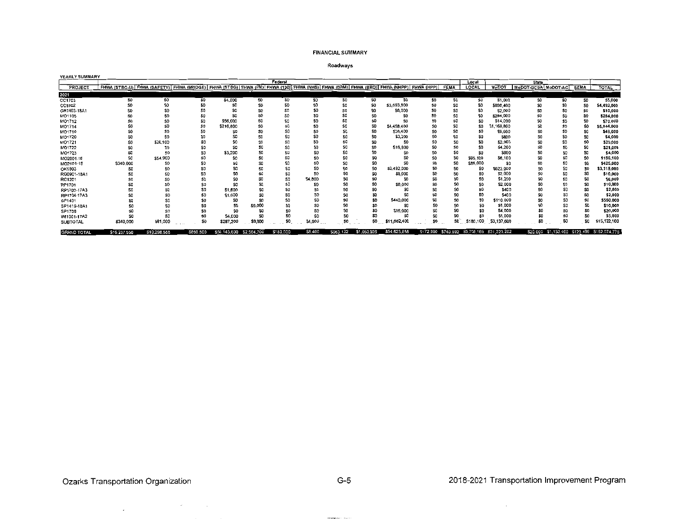### Roadways

| YEARLY SUMMARY     |                                                                                                                                    |              |                 |                          |                 |                 |         |           |             |                  |     |                |                |                                              |                     |                 |                 |                                              |
|--------------------|------------------------------------------------------------------------------------------------------------------------------------|--------------|-----------------|--------------------------|-----------------|-----------------|---------|-----------|-------------|------------------|-----|----------------|----------------|----------------------------------------------|---------------------|-----------------|-----------------|----------------------------------------------|
|                    |                                                                                                                                    |              |                 |                          |                 | Federal         |         |           |             |                  |     |                | Local          |                                              | <b>State</b>        |                 |                 |                                              |
| PROJECT            | FHWA (STBG-U) FHWA (SAFETY) FHWA (BRIDGE) FHWA (STBG) FHWA (UM) FHWA (130) FHWA (NHS) FHWA (BRM) FHWA (BRO) FHWA (NHPP) FHWA (HPP) |              |                 |                          |                 |                 |         |           |             |                  |     | <b>FEMA</b>    | <b>LOCAL</b>   | MoDOT                                        | MoDOT-GCSA MoDOT-AC |                 | <b>SEMA</b>     | <b>TOTAL</b>                                 |
| 2021               |                                                                                                                                    |              |                 |                          |                 |                 |         |           |             |                  |     |                |                |                                              |                     |                 |                 |                                              |
| CC1703             | SO.                                                                                                                                | S0           | S <sub>0</sub>  | \$4,000                  | SO.             | \$0             | \$0     | \$0       | S0          | SO.              | SO. | \$0            | \$O            | \$1,000                                      | SO.                 | \$0             | SO <sub>1</sub> | \$5,000                                      |
| CC1802             |                                                                                                                                    | \$0          | \$0             | \$f                      | <b>SD</b>       | \$0             | \$Q     |           | \$O         | \$3,593,600      |     | \$0            | 50             | \$898,400                                    |                     | SO.             | \$0             | \$4,492,000                                  |
| CR1403-18A1        |                                                                                                                                    |              |                 |                          | SO              | \$C             | S0      |           |             | \$8,000          |     | \$0            |                | \$2,000                                      |                     | \$O             |                 | \$10,000                                     |
| MO1105             |                                                                                                                                    |              |                 |                          |                 | \$Ó             | \$C     |           |             |                  |     | \$0            |                | \$284,000                                    |                     | \$0             |                 | \$284,000                                    |
| MO1712             |                                                                                                                                    |              | \$0             | \$56,000                 | Sû              | SC              | SC      |           |             |                  |     | \$0            |                | \$14,000                                     |                     | \$O             | S0              | \$70,000                                     |
| MO1714             |                                                                                                                                    | S.           | \$0             | \$216,800                | \$û             | \$O             | \$0     |           | \$0         | \$4,458,400      |     | \$0            | S.             | \$1,168,800                                  |                     | \$O             | \$C             | \$5,844,000                                  |
| MO1719             |                                                                                                                                    |              | SD <sub>1</sub> |                          | SC              | \$0             | \$0     |           |             | \$38,400         |     | \$0            | \$C            | \$9,600                                      |                     | \$O             |                 | \$48,000                                     |
| MO1720             |                                                                                                                                    |              |                 |                          |                 | \$C             | S0      |           |             | \$3,200          |     | \$0            |                | \$800                                        |                     | \$0             | SC              | \$4,000                                      |
| MO1721             |                                                                                                                                    | 526,100      |                 |                          | sc              | \$C             | \$0     |           |             | SO.              |     | \$0            | \$C            | \$2,900                                      |                     | SO              | \$0             | \$29,000                                     |
| MO1722             |                                                                                                                                    | S0           |                 |                          | \$C             | \$C             | 50      |           | \$0         | \$16,800         |     | \$0            | S.             | \$4,200                                      |                     | \$0             |                 | \$21,000                                     |
| MO1723             |                                                                                                                                    | SC           |                 | \$3,200                  |                 | \$C             | SO.     |           |             |                  |     | \$O            | S0             | \$800                                        |                     | SO              | \$0             | \$4,000                                      |
| MO2001-18          |                                                                                                                                    | \$54,900     |                 |                          | SC              | SC              | 50      | 50        |             |                  |     | \$0            | \$95,100       | \$6,100                                      |                     | Ş0              | \$0             | \$156,100                                    |
| MO2101-18          | \$340,000                                                                                                                          | \$0          |                 |                          | \$C             | \$0             | 50      |           |             | \$0              |     | \$0            | \$85,000       | \$O                                          |                     | \$0             | SO <sub>1</sub> | \$425,000                                    |
| OK1803             |                                                                                                                                    |              |                 |                          | SC              |                 | \$O     | \$0       | \$C         | \$2,492,000      |     | \$0            | S0             | \$623,000                                    |                     | \$0             | \$0             | \$3,115,000                                  |
| RG0901-18A1        |                                                                                                                                    | 50           |                 |                          |                 | \$0             | 50      | Ś.        |             | \$8,000          |     | \$0            | \$0            | \$2,000                                      |                     | \$0             | \$0             | \$10,000                                     |
| RG1201             |                                                                                                                                    |              |                 |                          | \$0             | SO              | \$4,800 | \$0       |             | S0               |     | \$0            | S <sub>0</sub> | \$1,200                                      |                     |                 |                 | \$6,000                                      |
| RP1701             |                                                                                                                                    |              | \$0             |                          | \$0             | \$0             | SO.     | S0        |             | \$8,000          |     | \$0            | S0             | \$2,000                                      |                     | SO <sub>1</sub> | \$0             | \$10,000                                     |
| RP1703-17A3        |                                                                                                                                    |              | \$0             | \$1,600                  | \$0             | \$0             | so      | \$C       |             |                  |     | SO             | S <sub>0</sub> | \$400                                        |                     |                 | \$0             | \$2,000                                      |
| RP1704-17A3        |                                                                                                                                    |              | \$C             | \$1,600                  | \$0             | SO <sub>3</sub> | SO      |           | \$0         |                  |     | \$0            | \$0            | \$400                                        |                     |                 | \$0             | \$2,000                                      |
| SP1401             |                                                                                                                                    |              |                 | S0                       | SO <sub>1</sub> | SO.             | 50      |           | SD          | \$440,000        |     | \$0            | S <sub>0</sub> | \$110,000                                    |                     | \$0             | S0              | \$550,000                                    |
| SP1419-18A1        |                                                                                                                                    |              | \$C             | S <sub>0</sub>           | \$9,000         | SO              | 50      |           |             |                  |     | S <sub>0</sub> |                | \$1,000                                      |                     | \$0             | 50              | \$10,000                                     |
| SP1709             |                                                                                                                                    |              |                 | S <sub>0</sub>           | \$0             |                 |         |           | S0          | \$16,000         |     |                |                | \$4,000                                      |                     | 50              | 50              | \$20,000                                     |
| WI1001-17A2        |                                                                                                                                    |              |                 | \$4,000                  | \$0             | \$0             | \$0     | 50        | \$0         | S0               |     | SO.            |                | \$1,000                                      |                     | \$0             | \$0             | \$5,000                                      |
| <b>SUBTOTAL</b>    | \$340,000                                                                                                                          | \$81,000     | 50              | \$287,200                | \$9,000         | \$0             | \$4,800 | SO        | SO.         | .082.400<br>-511 |     | SO.            | \$180,100      | \$3,137,600                                  |                     | \$0             | \$0             | 122,100<br>\$15.                             |
| <b>GRAND TOTAL</b> | \$16,237,558                                                                                                                       | \$10,298,556 | \$860,800       | \$56,143,600 \$2,564,700 |                 | \$180,000       | \$6,400 | \$963,132 | \$1,053,926 | \$54,623,856     |     |                |                | \$172,990 \$740,992 \$5,708,165 \$31,223,202 |                     |                 |                 | \$20,000 \$1,153,400 \$123,499 \$182,074,776 |

 $\mathbb{Z}^{\mathbb{Z}}$ 

 $\mathcal{L}_{\text{max}}(\mathcal{L}_{\text{max}})$  and  $\mathcal{L}_{\text{max}}(\mathcal{L}_{\text{max}})$  and

 $\label{eq:reduced} \begin{split} \text{convergence} & \times \mathcal{N} \times \mathcal{N} \times \mathcal{N} \times \mathcal{N} \times \mathcal{N} \times \mathcal{N} \times \mathcal{N} \times \mathcal{N} \times \mathcal{N} \times \mathcal{N} \times \mathcal{N} \times \mathcal{N} \times \mathcal{N} \times \mathcal{N} \times \mathcal{N} \times \mathcal{N} \times \mathcal{N} \times \mathcal{N} \times \mathcal{N} \times \mathcal{N} \times \mathcal{N} \times \mathcal{N} \times \mathcal{N} \times \mathcal{N} \times \mathcal{N}$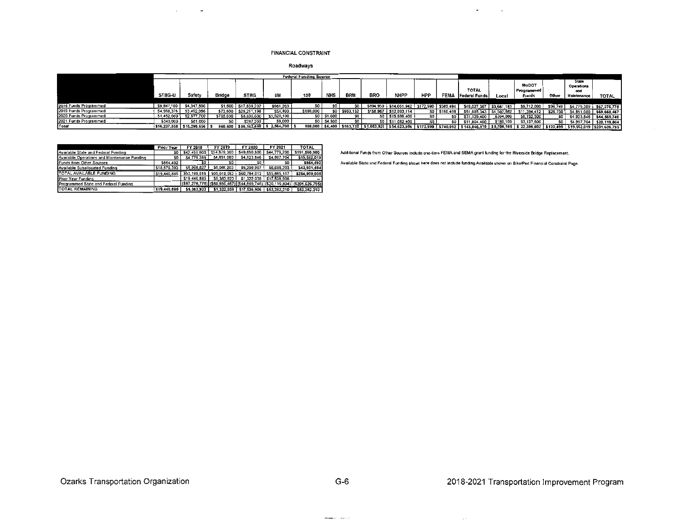### **FINANCIAL CONSTRAINT**

Roadways

|                       |               |              |           |                      | <b>Federal Funding Source</b> |           |               |               |             |                                            |            |           |                               |             |                            |           |                            |                          |
|-----------------------|---------------|--------------|-----------|----------------------|-------------------------------|-----------|---------------|---------------|-------------|--------------------------------------------|------------|-----------|-------------------------------|-------------|----------------------------|-----------|----------------------------|--------------------------|
|                       |               |              |           |                      |                               |           |               |               |             |                                            |            |           | <b>TOTAL</b>                  |             | <b>MoDOT</b><br>Programmed |           | State<br>Operations<br>and |                          |
|                       | <b>STBG-U</b> | Safety       | Bridge    | STBG                 |                               | 130       | <b>NHS</b>    | <b>BRM</b>    | <b>BRO</b>  | NHPP                                       | <b>HPP</b> | FEMA      | <b>Federal Funds</b>          | Loca        | Funds                      | Other     | Maintenance                | <b>TOTAL</b>             |
|                       |               |              |           |                      |                               |           |               |               |             |                                            |            |           |                               |             |                            |           |                            |                          |
| 2018 Funds Programmed | \$9,847,180   | \$4,047,800  |           | \$1,600 \$17,839,202 | \$981.200                     | so I      | €∩            |               |             | \$894,959 \$14,661,942 \$172,990 \$580,494 |            |           | \$49,027,367 \$3,661,183      |             | \$9,712,090                | \$96,749  |                            | \$4,779,389 \$67,276,778 |
| 2019 Funds Programmed | \$4.598.378   | \$3,492,056  | \$73,600  | \$29,211,198         | \$54,400                      | \$180,000 |               | \$0 \$963,132 | \$158.967   | 512,993,114                                | so I       | \$150.498 | \$51,885,343                  | \$1,502,882 | \$11.394.412               | \$26,750  | \$4,851,080                | \$69,660,467             |
| 2020 Funds Programmed | \$1,452,000   | \$2,577,700  | \$785,600 | \$8,806,000          | \$1,520,100                   |           | $$0$ $$1,600$ | \$0           |             | SO 515.886.400                             | \$0        | 50        | \$31,129,400                  | \$364,000   | \$8,152,500                | \$O       | \$4.923.846                | 544,569,746              |
| 2021 Funds Programmed | \$340,000     | \$81.000     |           | \$287.200            | \$9,000                       |           | \$0 54,800    |               |             | \$0 511,082,400                            |            | 50        | \$11,804,400                  | \$180.100   | \$3,137,600                |           |                            | \$4,997,704 \$20,119,804 |
| Total                 | \$16,237,558  | \$10,298,556 | 860,800   | \$56,143,600         | 52.564.700                    | 180,000   | 156,400       | \$963,132     | \$1,053,926 | \$54,623,856                               | \$172,990  | 5740.992  | \$143,846,510   \$5,708,165 ' |             | \$32,396,602               | \$123,499 | \$19,552,019 \$201,626,795 |                          |

|                                              | <b>Prior Year</b> | FY 2018      | FY 2019      | FY 2020                     | FY 2021                                                                     | <b>TOTAL</b>    |
|----------------------------------------------|-------------------|--------------|--------------|-----------------------------|-----------------------------------------------------------------------------|-----------------|
| Available State and Federal Funding          | so                | \$42,451,600 | \$54,679,300 | \$49,650,800                | \$44,779,200                                                                | \$191.560.900   |
| Available Operations and Maintenance Funding | S0                | \$4,779,389  | \$4,851,080  | \$4,923,846                 | \$4,997,704                                                                 | \$19,552,019    |
| Funds from Other Sources                     | \$864,492         | \$0          | \$0          | \$0                         | \$0                                                                         | \$864.492       |
| Available Suballocated Funding               | \$18,576,393      | \$5,968,827  | \$6,088,203  | \$6,209.967                 | \$6,088,203                                                                 | \$42,931.594    |
| <b>TOTAL AVAILABLE FUNDING</b>               | \$19,440,585      | \$53,199,816 | \$65,618,583 | \$60,784,613                | \$55.865.107                                                                | \$254,909,005   |
| Prior Year Funding                           |                   | \$19,440,885 | \$5,363,923  | \$1,322,039                 | \$17,536,906                                                                |                 |
| Programmed State and Federal Funding         |                   |              |              |                             | $($ \$67,276,778) $($ \$69,660,467) $($ \$44,569,746) $($ \$20,119,804) $[$ | (\$201.626.795) |
| <b>TOTAL REMAINING</b>                       | \$19,440,885      | \$5,363,923  | \$1,322,039  | \$17,536,906   \$53,282,210 |                                                                             | \$53,282,210    |

 $\sim$ 

 $\overline{\phantom{a}}$ 

Additional Funds from Other Sources include one-time FEMA and SEMA grant funding for the Riverside Bridge Replacement.

Available State and Federal Funding shown here does not include funding Available shown on Bike/Ped Financial Constraint Page.

 $\blacksquare$ 

 $\sim 100$ 

 $\frac{1}{2} \left( \frac{1}{2} \frac{1}{2} \frac{1}{2} \frac{1}{2} \frac{1}{2} \frac{1}{2} \frac{1}{2} \frac{1}{2} \frac{1}{2} \frac{1}{2} \frac{1}{2} \frac{1}{2} \frac{1}{2} \frac{1}{2} \frac{1}{2} \frac{1}{2} \frac{1}{2} \frac{1}{2} \frac{1}{2} \frac{1}{2} \frac{1}{2} \frac{1}{2} \frac{1}{2} \frac{1}{2} \frac{1}{2} \frac{1}{2} \frac{1}{2} \frac{1}{2} \frac{1}{2} \frac{1}{2}$